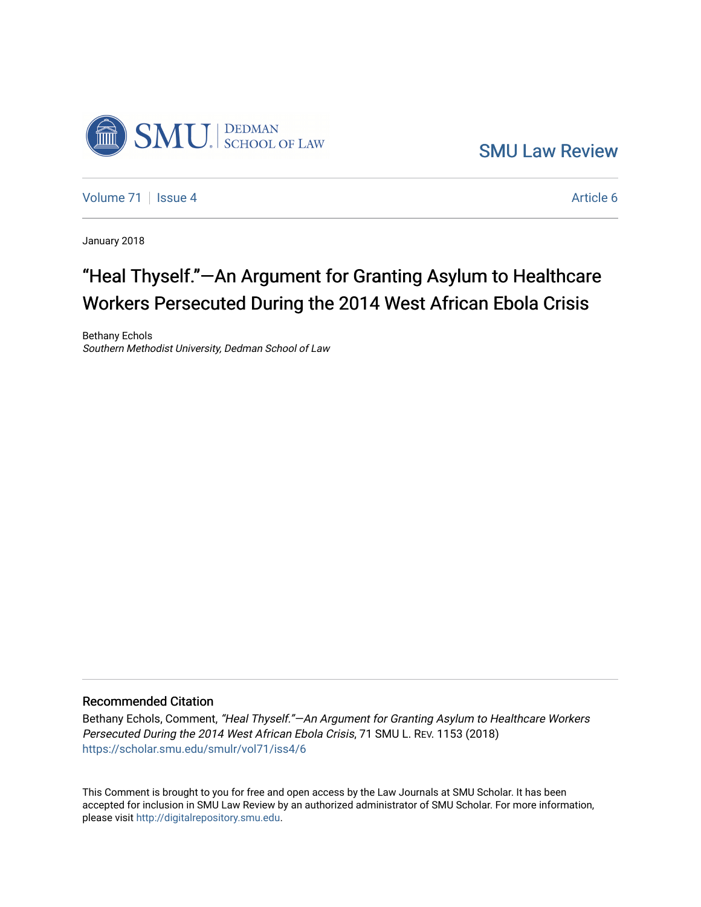

[SMU Law Review](https://scholar.smu.edu/smulr) 

[Volume 71](https://scholar.smu.edu/smulr/vol71) | [Issue 4](https://scholar.smu.edu/smulr/vol71/iss4) Article 6

January 2018

# "Heal Thyself."—An Argument for Granting Asylum to Healthcare Workers Persecuted During the 2014 West African Ebola Crisis

Bethany Echols Southern Methodist University, Dedman School of Law

# Recommended Citation

Bethany Echols, Comment, "Heal Thyself."—An Argument for Granting Asylum to Healthcare Workers Persecuted During the 2014 West African Ebola Crisis, 71 SMU L. REV. 1153 (2018) [https://scholar.smu.edu/smulr/vol71/iss4/6](https://scholar.smu.edu/smulr/vol71/iss4/6?utm_source=scholar.smu.edu%2Fsmulr%2Fvol71%2Fiss4%2F6&utm_medium=PDF&utm_campaign=PDFCoverPages) 

This Comment is brought to you for free and open access by the Law Journals at SMU Scholar. It has been accepted for inclusion in SMU Law Review by an authorized administrator of SMU Scholar. For more information, please visit [http://digitalrepository.smu.edu.](http://digitalrepository.smu.edu/)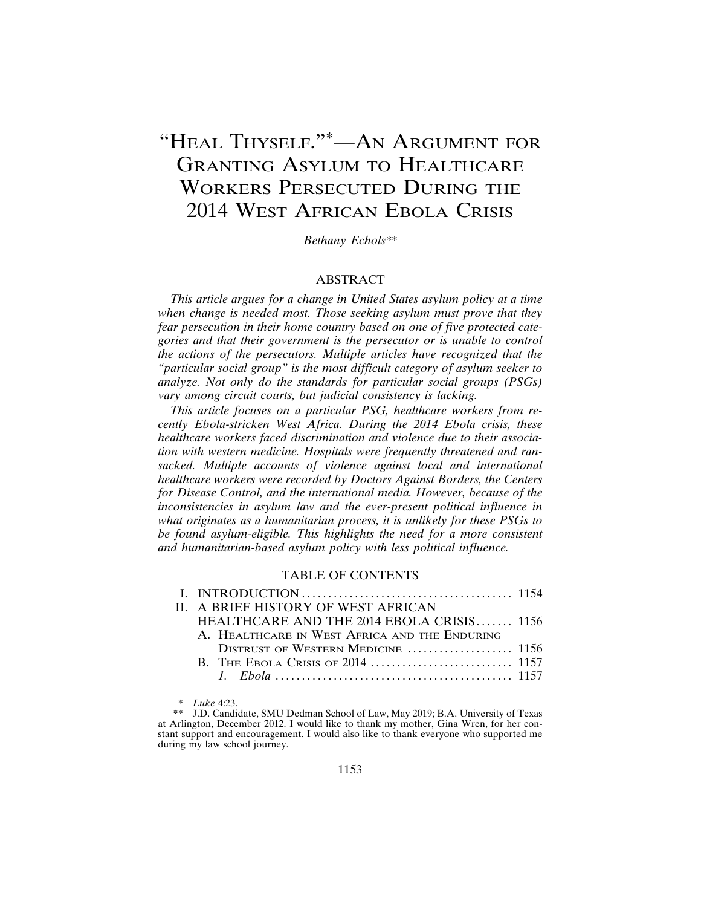# "HEAL THYSELF."\*—AN ARGUMENT FOR GRANTING ASYLUM TO HEALTHCARE WORKERS PERSECUTED DURING THE 2014 WEST AFRICAN EBOLA CRISIS

*Bethany Echols\*\**

# **ABSTRACT**

*This article argues for a change in United States asylum policy at a time when change is needed most. Those seeking asylum must prove that they fear persecution in their home country based on one of five protected categories and that their government is the persecutor or is unable to control the actions of the persecutors. Multiple articles have recognized that the "particular social group" is the most difficult category of asylum seeker to analyze. Not only do the standards for particular social groups (PSGs) vary among circuit courts, but judicial consistency is lacking.*

*This article focuses on a particular PSG, healthcare workers from recently Ebola-stricken West Africa. During the 2014 Ebola crisis, these healthcare workers faced discrimination and violence due to their association with western medicine. Hospitals were frequently threatened and ransacked. Multiple accounts of violence against local and international healthcare workers were recorded by Doctors Against Borders, the Centers for Disease Control, and the international media. However, because of the inconsistencies in asylum law and the ever-present political influence in what originates as a humanitarian process, it is unlikely for these PSGs to be found asylum-eligible. This highlights the need for a more consistent and humanitarian-based asylum policy with less political influence.*

# TABLE OF CONTENTS

| II. A BRIEF HISTORY OF WEST AFRICAN           |  |
|-----------------------------------------------|--|
| HEALTHCARE AND THE $2014$ EBOLA CRISIS 1156   |  |
| A. HEALTHCARE IN WEST AFRICA AND THE ENDURING |  |
|                                               |  |
|                                               |  |
|                                               |  |
|                                               |  |

<sup>\*</sup> *Luke* 4:23.

<sup>\*\*</sup> J.D. Candidate, SMU Dedman School of Law, May 2019; B.A. University of Texas at Arlington, December 2012. I would like to thank my mother, Gina Wren, for her constant support and encouragement. I would also like to thank everyone who supported me during my law school journey.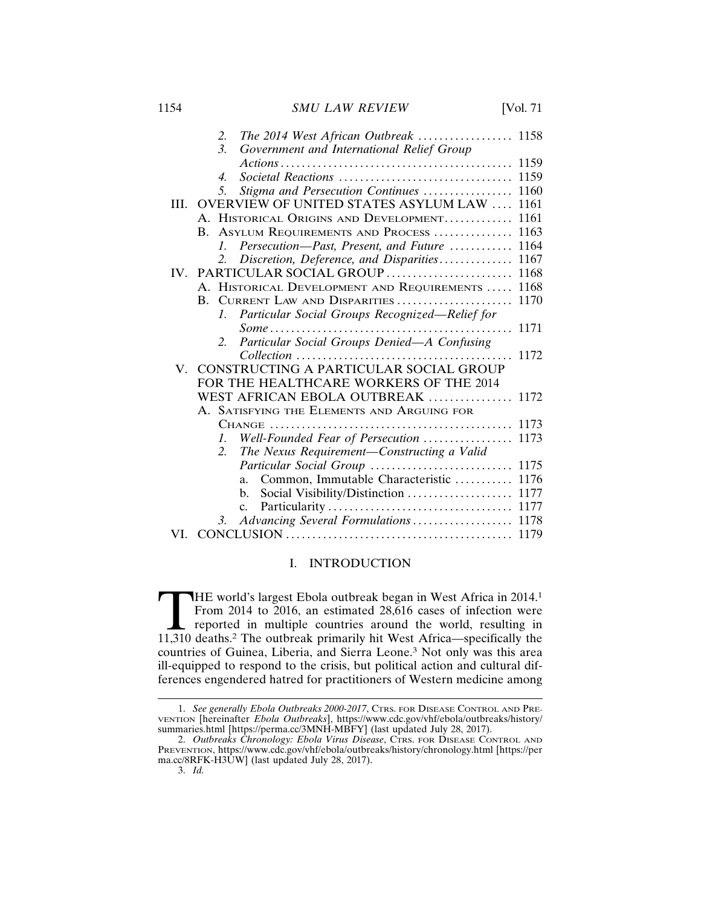# 1154 *SMU LAW REVIEW* [Vol. 71

|  | 2.               |                                  |  |                                                                                                                                                                                                                                                                                                                                                                                                                                                                                                                                                                                                                                                                                                                                                                                                                                                                                                                                                                                                                                                    |
|--|------------------|----------------------------------|--|----------------------------------------------------------------------------------------------------------------------------------------------------------------------------------------------------------------------------------------------------------------------------------------------------------------------------------------------------------------------------------------------------------------------------------------------------------------------------------------------------------------------------------------------------------------------------------------------------------------------------------------------------------------------------------------------------------------------------------------------------------------------------------------------------------------------------------------------------------------------------------------------------------------------------------------------------------------------------------------------------------------------------------------------------|
|  | $\mathfrak{Z}$   |                                  |  |                                                                                                                                                                                                                                                                                                                                                                                                                                                                                                                                                                                                                                                                                                                                                                                                                                                                                                                                                                                                                                                    |
|  |                  |                                  |  | 1159                                                                                                                                                                                                                                                                                                                                                                                                                                                                                                                                                                                                                                                                                                                                                                                                                                                                                                                                                                                                                                               |
|  | $\overline{4}$ . |                                  |  | 1159                                                                                                                                                                                                                                                                                                                                                                                                                                                                                                                                                                                                                                                                                                                                                                                                                                                                                                                                                                                                                                               |
|  | 5.               |                                  |  | 1160                                                                                                                                                                                                                                                                                                                                                                                                                                                                                                                                                                                                                                                                                                                                                                                                                                                                                                                                                                                                                                               |
|  |                  |                                  |  | 1161                                                                                                                                                                                                                                                                                                                                                                                                                                                                                                                                                                                                                                                                                                                                                                                                                                                                                                                                                                                                                                               |
|  |                  |                                  |  | 1161                                                                                                                                                                                                                                                                                                                                                                                                                                                                                                                                                                                                                                                                                                                                                                                                                                                                                                                                                                                                                                               |
|  |                  |                                  |  | 1163                                                                                                                                                                                                                                                                                                                                                                                                                                                                                                                                                                                                                                                                                                                                                                                                                                                                                                                                                                                                                                               |
|  | $\mathcal{I}$ .  |                                  |  | 1164                                                                                                                                                                                                                                                                                                                                                                                                                                                                                                                                                                                                                                                                                                                                                                                                                                                                                                                                                                                                                                               |
|  | 2.               |                                  |  | 1167                                                                                                                                                                                                                                                                                                                                                                                                                                                                                                                                                                                                                                                                                                                                                                                                                                                                                                                                                                                                                                               |
|  |                  |                                  |  | 1168                                                                                                                                                                                                                                                                                                                                                                                                                                                                                                                                                                                                                                                                                                                                                                                                                                                                                                                                                                                                                                               |
|  |                  |                                  |  | 1168                                                                                                                                                                                                                                                                                                                                                                                                                                                                                                                                                                                                                                                                                                                                                                                                                                                                                                                                                                                                                                               |
|  |                  |                                  |  | 1170                                                                                                                                                                                                                                                                                                                                                                                                                                                                                                                                                                                                                                                                                                                                                                                                                                                                                                                                                                                                                                               |
|  | 7.               |                                  |  |                                                                                                                                                                                                                                                                                                                                                                                                                                                                                                                                                                                                                                                                                                                                                                                                                                                                                                                                                                                                                                                    |
|  |                  |                                  |  | 1171                                                                                                                                                                                                                                                                                                                                                                                                                                                                                                                                                                                                                                                                                                                                                                                                                                                                                                                                                                                                                                               |
|  | 2.               |                                  |  |                                                                                                                                                                                                                                                                                                                                                                                                                                                                                                                                                                                                                                                                                                                                                                                                                                                                                                                                                                                                                                                    |
|  |                  |                                  |  | 1172                                                                                                                                                                                                                                                                                                                                                                                                                                                                                                                                                                                                                                                                                                                                                                                                                                                                                                                                                                                                                                               |
|  |                  |                                  |  |                                                                                                                                                                                                                                                                                                                                                                                                                                                                                                                                                                                                                                                                                                                                                                                                                                                                                                                                                                                                                                                    |
|  |                  |                                  |  |                                                                                                                                                                                                                                                                                                                                                                                                                                                                                                                                                                                                                                                                                                                                                                                                                                                                                                                                                                                                                                                    |
|  |                  |                                  |  | 1172                                                                                                                                                                                                                                                                                                                                                                                                                                                                                                                                                                                                                                                                                                                                                                                                                                                                                                                                                                                                                                               |
|  |                  |                                  |  |                                                                                                                                                                                                                                                                                                                                                                                                                                                                                                                                                                                                                                                                                                                                                                                                                                                                                                                                                                                                                                                    |
|  |                  |                                  |  | 1173                                                                                                                                                                                                                                                                                                                                                                                                                                                                                                                                                                                                                                                                                                                                                                                                                                                                                                                                                                                                                                               |
|  | 7.               |                                  |  | 1173                                                                                                                                                                                                                                                                                                                                                                                                                                                                                                                                                                                                                                                                                                                                                                                                                                                                                                                                                                                                                                               |
|  | 2.               |                                  |  |                                                                                                                                                                                                                                                                                                                                                                                                                                                                                                                                                                                                                                                                                                                                                                                                                                                                                                                                                                                                                                                    |
|  |                  |                                  |  | 1175                                                                                                                                                                                                                                                                                                                                                                                                                                                                                                                                                                                                                                                                                                                                                                                                                                                                                                                                                                                                                                               |
|  |                  | a.                               |  | 1176                                                                                                                                                                                                                                                                                                                                                                                                                                                                                                                                                                                                                                                                                                                                                                                                                                                                                                                                                                                                                                               |
|  |                  | b.                               |  | 1177                                                                                                                                                                                                                                                                                                                                                                                                                                                                                                                                                                                                                                                                                                                                                                                                                                                                                                                                                                                                                                               |
|  |                  | $c_{\cdot}$                      |  | 1177                                                                                                                                                                                                                                                                                                                                                                                                                                                                                                                                                                                                                                                                                                                                                                                                                                                                                                                                                                                                                                               |
|  | 3.               |                                  |  | 1178                                                                                                                                                                                                                                                                                                                                                                                                                                                                                                                                                                                                                                                                                                                                                                                                                                                                                                                                                                                                                                               |
|  |                  |                                  |  | 1179                                                                                                                                                                                                                                                                                                                                                                                                                                                                                                                                                                                                                                                                                                                                                                                                                                                                                                                                                                                                                                               |
|  | V.               | $\mathbf{B}$ .<br>$\mathbf{B}$ . |  | The 2014 West African Outbreak  1158<br>Government and International Relief Group<br>Societal Reactions<br>Stigma and Persecution Continues<br>OVERVIEW OF UNITED STATES ASYLUM LAW<br>A. HISTORICAL ORIGINS AND DEVELOPMENT<br>ASYLUM REQUIREMENTS AND PROCESS<br>Persecution-Past, Present, and Future<br>Discretion, Deference, and Disparities<br>IV. PARTICULAR SOCIAL GROUP<br>A. HISTORICAL DEVELOPMENT AND REQUIREMENTS<br>CURRENT LAW AND DISPARITIES<br>Particular Social Groups Recognized-Relief for<br>$Some \dots \dots \dots \dots \dots \dots \dots \dots \dots \dots \dots \dots \dots \dots$<br>Particular Social Groups Denied-A Confusing<br>CONSTRUCTING A PARTICULAR SOCIAL GROUP<br>FOR THE HEALTHCARE WORKERS OF THE 2014<br>WEST AFRICAN EBOLA OUTBREAK<br>A. SATISFYING THE ELEMENTS AND ARGUING FOR<br>Well-Founded Fear of Persecution<br>The Nexus Requirement-Constructing a Valid<br>Particular Social Group<br>Common, Immutable Characteristic<br>Social Visibility/Distinction<br>Advancing Several Formulations |

# I. INTRODUCTION

THE world's largest Ebola outbreak began in West Africa in 2014.<sup>1</sup> From 2014 to 2016, an estimated 28,616 cases of infection were reported in multiple countries around the world, resulting in 11,310 deaths.<sup>2</sup> The outbrea From 2014 to 2016, an estimated 28,616 cases of infection were reported in multiple countries around the world, resulting in 11,310 deaths.2 The outbreak primarily hit West Africa—specifically the countries of Guinea, Liberia, and Sierra Leone.3 Not only was this area ill-equipped to respond to the crisis, but political action and cultural differences engendered hatred for practitioners of Western medicine among

<sup>1.</sup> *See generally Ebola Outbreaks 2000-2017*, CTRS. FOR DISEASE CONTROL AND PRE-VENTION [hereinafter *Ebola Outbreaks*], https://www.cdc.gov/vhf/ebola/outbreaks/history/ summaries.html [https://perma.cc/3MNH-MBFY] (last updated July 28, 2017).

<sup>2.</sup> *Outbreaks Chronology: Ebola Virus Disease*, CTRS. FOR DISEASE CONTROL AND PREVENTION, https://www.cdc.gov/vhf/ebola/outbreaks/history/chronology.html [https://per ma.cc/8RFK-H3UW] (last updated July 28, 2017).

<sup>3.</sup> *Id.*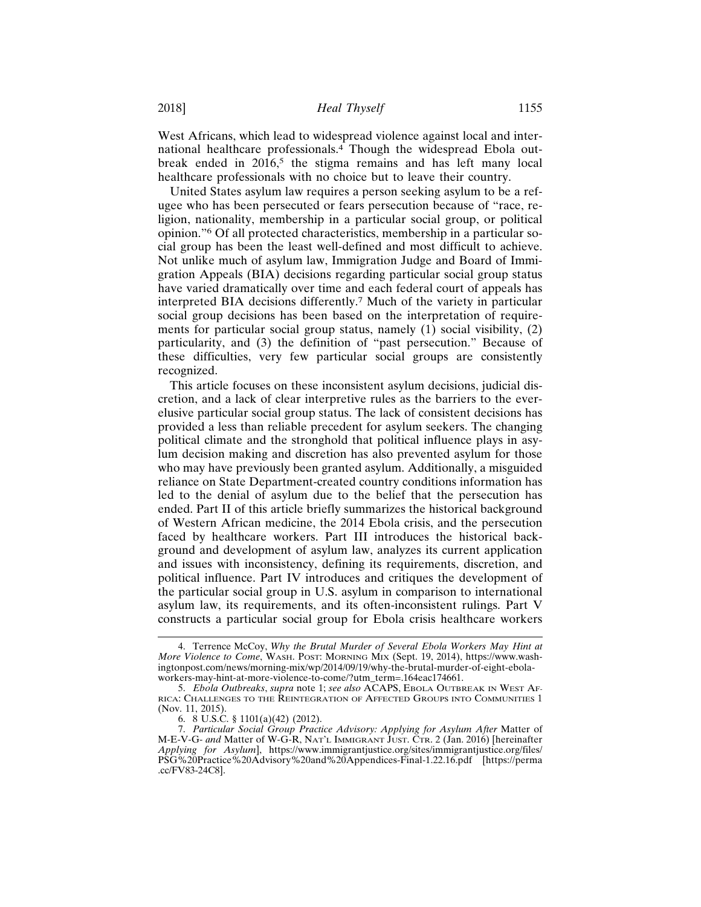West Africans, which lead to widespread violence against local and international healthcare professionals.4 Though the widespread Ebola outbreak ended in  $2016$ ,<sup>5</sup> the stigma remains and has left many local healthcare professionals with no choice but to leave their country.

United States asylum law requires a person seeking asylum to be a refugee who has been persecuted or fears persecution because of "race, religion, nationality, membership in a particular social group, or political opinion."6 Of all protected characteristics, membership in a particular social group has been the least well-defined and most difficult to achieve. Not unlike much of asylum law, Immigration Judge and Board of Immigration Appeals (BIA) decisions regarding particular social group status have varied dramatically over time and each federal court of appeals has interpreted BIA decisions differently.7 Much of the variety in particular social group decisions has been based on the interpretation of requirements for particular social group status, namely (1) social visibility, (2) particularity, and (3) the definition of "past persecution." Because of these difficulties, very few particular social groups are consistently recognized.

This article focuses on these inconsistent asylum decisions, judicial discretion, and a lack of clear interpretive rules as the barriers to the everelusive particular social group status. The lack of consistent decisions has provided a less than reliable precedent for asylum seekers. The changing political climate and the stronghold that political influence plays in asylum decision making and discretion has also prevented asylum for those who may have previously been granted asylum. Additionally, a misguided reliance on State Department-created country conditions information has led to the denial of asylum due to the belief that the persecution has ended. Part II of this article briefly summarizes the historical background of Western African medicine, the 2014 Ebola crisis, and the persecution faced by healthcare workers. Part III introduces the historical background and development of asylum law, analyzes its current application and issues with inconsistency, defining its requirements, discretion, and political influence. Part IV introduces and critiques the development of the particular social group in U.S. asylum in comparison to international asylum law, its requirements, and its often-inconsistent rulings. Part V constructs a particular social group for Ebola crisis healthcare workers

<sup>4.</sup> Terrence McCoy, *Why the Brutal Murder of Several Ebola Workers May Hint at More Violence to Come*, WASH. POST: MORNING MIX (Sept. 19, 2014), https://www.washingtonpost.com/news/morning-mix/wp/2014/09/19/why-the-brutal-murder-of-eight-ebolaworkers-may-hint-at-more-violence-to-come/?utm\_term=.164eac174661.

<sup>5.</sup> *Ebola Outbreaks*, *supra* note 1; *see also* ACAPS, EBOLA OUTBREAK IN WEST AF-RICA: CHALLENGES TO THE REINTEGRATION OF AFFECTED GROUPS INTO COMMUNITIES 1 (Nov. 11, 2015).

<sup>6. 8</sup> U.S.C. § 1101(a)(42) (2012).

<sup>7.</sup> *Particular Social Group Practice Advisory: Applying for Asylum After* Matter of M-E-V-G- *and* Matter of W-G-R, NAT'L IMMIGRANT JUST. CTR. 2 (Jan. 2016) [hereinafter *Applying for Asylum*], https://www.immigrantjustice.org/sites/immigrantjustice.org/files/ PSG%20Practice%20Advisory%20and%20Appendices-Final-1.22.16.pdf [https://perma .cc/FV83-24C8].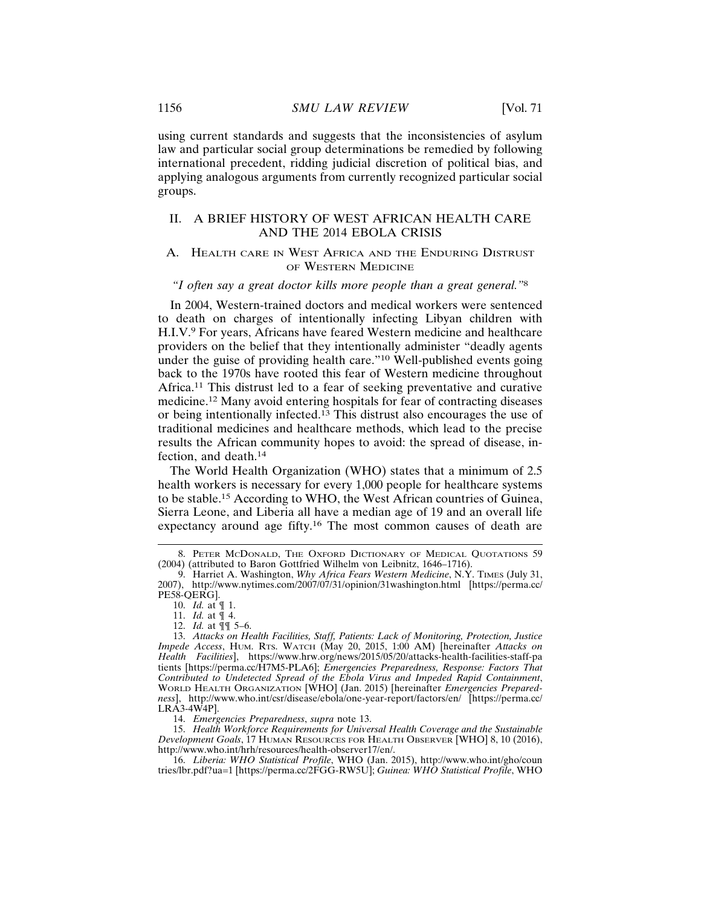using current standards and suggests that the inconsistencies of asylum law and particular social group determinations be remedied by following international precedent, ridding judicial discretion of political bias, and applying analogous arguments from currently recognized particular social groups.

# II. A BRIEF HISTORY OF WEST AFRICAN HEALTH CARE AND THE 2014 EBOLA CRISIS

# A. HEALTH CARE IN WEST AFRICA AND THE ENDURING DISTRUST OF WESTERN MEDICINE

## *"I often say a great doctor kills more people than a great general."*<sup>8</sup>

In 2004, Western-trained doctors and medical workers were sentenced to death on charges of intentionally infecting Libyan children with H.I.V.9 For years, Africans have feared Western medicine and healthcare providers on the belief that they intentionally administer "deadly agents under the guise of providing health care."10 Well-published events going back to the 1970s have rooted this fear of Western medicine throughout Africa.11 This distrust led to a fear of seeking preventative and curative medicine.12 Many avoid entering hospitals for fear of contracting diseases or being intentionally infected.13 This distrust also encourages the use of traditional medicines and healthcare methods, which lead to the precise results the African community hopes to avoid: the spread of disease, infection, and death.<sup>14</sup>

The World Health Organization (WHO) states that a minimum of 2.5 health workers is necessary for every 1,000 people for healthcare systems to be stable.15 According to WHO, the West African countries of Guinea, Sierra Leone, and Liberia all have a median age of 19 and an overall life expectancy around age fifty.16 The most common causes of death are

14. *Emergencies Preparedness*, *supra* note 13.

15. *Health Workforce Requirements for Universal Health Coverage and the Sustainable Development Goals*, 17 HUMAN RESOURCES FOR HEALTH OBSERVER [WHO] 8, 10 (2016), http://www.who.int/hrh/resources/health-observer17/en/.

16. *Liberia: WHO Statistical Profile*, WHO (Jan. 2015), http://www.who.int/gho/coun tries/lbr.pdf?ua=1 [https://perma.cc/2FGG-RW5U]; *Guinea: WHO Statistical Profile*, WHO

<sup>8.</sup> PETER MCDONALD, THE OXFORD DICTIONARY OF MEDICAL QUOTATIONS 59 (2004) (attributed to Baron Gottfried Wilhelm von Leibnitz, 1646–1716).

<sup>9.</sup> Harriet A. Washington, *Why Africa Fears Western Medicine*, N.Y. TIMES (July 31, 2007), http://www.nytimes.com/2007/07/31/opinion/31washington.html [https://perma.cc/ PE58-QERG].

<sup>10.</sup> *Id.* at ¶ 1.

<sup>11.</sup> *Id.* at ¶ 4.

<sup>12.</sup> *Id.* at ¶¶ 5–6.

<sup>13.</sup> *Attacks on Health Facilities, Staff, Patients: Lack of Monitoring, Protection, Justice Impede Access*, HUM. RTS. WATCH (May 20, 2015, 1:00 AM) [hereinafter *Attacks on Health Facilities*], https://www.hrw.org/news/2015/05/20/attacks-health-facilities-staff-pa tients [https://perma.cc/H7M5-PLA6]; *Emergencies Preparedness, Response: Factors That Contributed to Undetected Spread of the Ebola Virus and Impeded Rapid Containment*, WORLD HEALTH ORGANIZATION [WHO] (Jan. 2015) [hereinafter *Emergencies Preparedness*], http://www.who.int/csr/disease/ebola/one-year-report/factors/en/ [https://perma.cc/ LRA3-4W4P].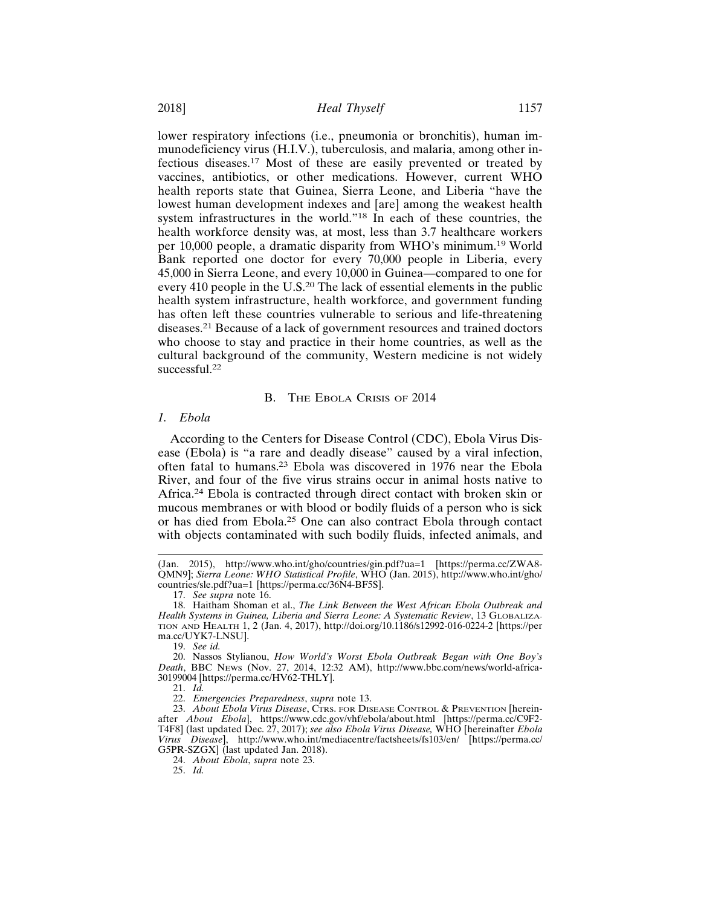lower respiratory infections (i.e., pneumonia or bronchitis), human immunodeficiency virus (H.I.V.), tuberculosis, and malaria, among other infectious diseases.17 Most of these are easily prevented or treated by vaccines, antibiotics, or other medications. However, current WHO health reports state that Guinea, Sierra Leone, and Liberia "have the lowest human development indexes and [are] among the weakest health system infrastructures in the world."18 In each of these countries, the health workforce density was, at most, less than 3.7 healthcare workers per 10,000 people, a dramatic disparity from WHO's minimum.19 World Bank reported one doctor for every 70,000 people in Liberia, every 45,000 in Sierra Leone, and every 10,000 in Guinea—compared to one for every 410 people in the U.S.20 The lack of essential elements in the public health system infrastructure, health workforce, and government funding has often left these countries vulnerable to serious and life-threatening diseases.21 Because of a lack of government resources and trained doctors who choose to stay and practice in their home countries, as well as the cultural background of the community, Western medicine is not widely successful.<sup>22</sup>

## B. THE EBOLA CRISIS OF 2014

### *1. Ebola*

According to the Centers for Disease Control (CDC), Ebola Virus Disease (Ebola) is "a rare and deadly disease" caused by a viral infection, often fatal to humans.23 Ebola was discovered in 1976 near the Ebola River, and four of the five virus strains occur in animal hosts native to Africa.24 Ebola is contracted through direct contact with broken skin or mucous membranes or with blood or bodily fluids of a person who is sick or has died from Ebola.25 One can also contract Ebola through contact with objects contaminated with such bodily fluids, infected animals, and

17. *See supra* note 16.

21. *Id.*

24. *About Ebola*, *supra* note 23.

25. *Id.*

<sup>(</sup>Jan. 2015), http://www.who.int/gho/countries/gin.pdf?ua=1 [https://perma.cc/ZWA8- QMN9]; *Sierra Leone: WHO Statistical Profile*, WHO (Jan. 2015), http://www.who.int/gho/ countries/sle.pdf?ua=1 [https://perma.cc/36N4-BF5S].

<sup>18.</sup> Haitham Shoman et al., *The Link Between the West African Ebola Outbreak and Health Systems in Guinea, Liberia and Sierra Leone: A Systematic Review*, 13 GLOBALIZA-TION AND HEALTH 1, 2 (Jan. 4, 2017), http://doi.org/10.1186/s12992-016-0224-2 [https://per ma.cc/UYK7-LNSU].

<sup>19.</sup> *See id.*

<sup>20.</sup> Nassos Stylianou, *How World's Worst Ebola Outbreak Began with One Boy's Death*, BBC NEWS (Nov. 27, 2014, 12:32 AM), http://www.bbc.com/news/world-africa-30199004 [https://perma.cc/HV62-THLY].

<sup>22.</sup> *Emergencies Preparedness*, *supra* note 13.

<sup>23.</sup> *About Ebola Virus Disease*, CTRS. FOR DISEASE CONTROL & PREVENTION [hereinafter *About Ebola*], https://www.cdc.gov/vhf/ebola/about.html [https://perma.cc/C9F2- T4F8] (last updated Dec. 27, 2017); *see also Ebola Virus Disease,* WHO [hereinafter *Ebola Virus Disease*], http://www.who.int/mediacentre/factsheets/fs103/en/ [https://perma.cc/ G5PR-SZGX] (last updated Jan. 2018).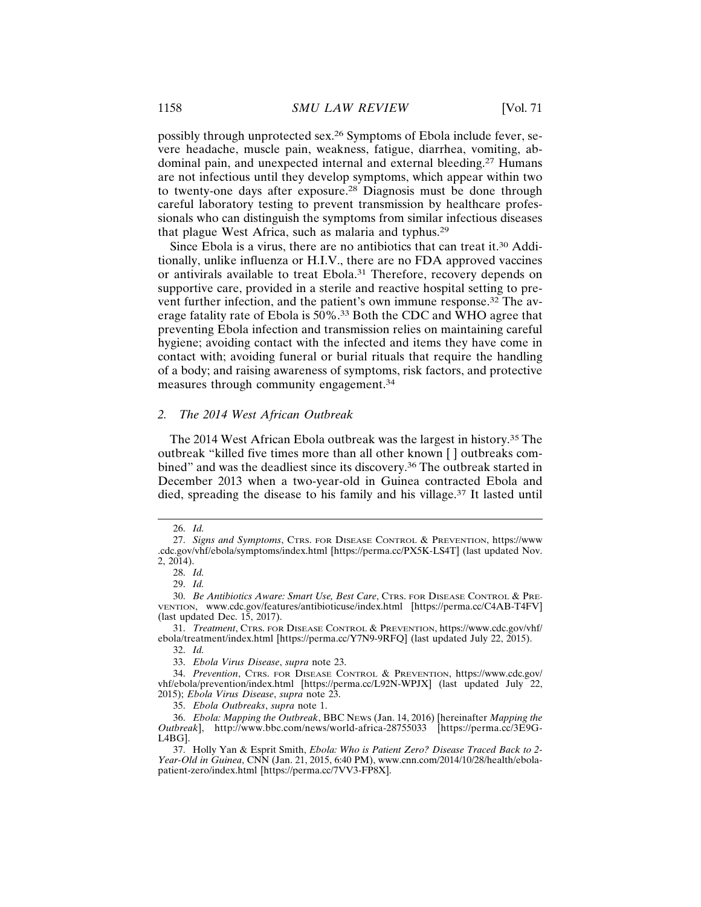possibly through unprotected sex.26 Symptoms of Ebola include fever, severe headache, muscle pain, weakness, fatigue, diarrhea, vomiting, abdominal pain, and unexpected internal and external bleeding.27 Humans are not infectious until they develop symptoms, which appear within two to twenty-one days after exposure.28 Diagnosis must be done through careful laboratory testing to prevent transmission by healthcare professionals who can distinguish the symptoms from similar infectious diseases that plague West Africa, such as malaria and typhus.<sup>29</sup>

Since Ebola is a virus, there are no antibiotics that can treat it.<sup>30</sup> Additionally, unlike influenza or H.I.V., there are no FDA approved vaccines or antivirals available to treat Ebola.<sup>31</sup> Therefore, recovery depends on supportive care, provided in a sterile and reactive hospital setting to prevent further infection, and the patient's own immune response.32 The average fatality rate of Ebola is 50%.33 Both the CDC and WHO agree that preventing Ebola infection and transmission relies on maintaining careful hygiene; avoiding contact with the infected and items they have come in contact with; avoiding funeral or burial rituals that require the handling of a body; and raising awareness of symptoms, risk factors, and protective measures through community engagement.<sup>34</sup>

## *2. The 2014 West African Outbreak*

The 2014 West African Ebola outbreak was the largest in history.35 The outbreak "killed five times more than all other known [ ] outbreaks combined" and was the deadliest since its discovery.<sup>36</sup> The outbreak started in December 2013 when a two-year-old in Guinea contracted Ebola and died, spreading the disease to his family and his village.37 It lasted until

32. *Id.*

33. *Ebola Virus Disease*, *supra* note 23.

35. *Ebola Outbreaks*, *supra* note 1.

<sup>26.</sup> *Id.*

<sup>27.</sup> *Signs and Symptoms*, CTRS. FOR DISEASE CONTROL & PREVENTION, https://www .cdc.gov/vhf/ebola/symptoms/index.html [https://perma.cc/PX5K-LS4T] (last updated Nov. 2, 2014).

<sup>28.</sup> *Id.*

<sup>29.</sup> *Id.*

<sup>30.</sup> *Be Antibiotics Aware: Smart Use, Best Care*, CTRS. FOR DISEASE CONTROL & PRE-VENTION, www.cdc.gov/features/antibioticuse/index.html [https://perma.cc/C4AB-T4FV] (last updated Dec. 15, 2017).

<sup>31.</sup> *Treatment*, CTRS. FOR DISEASE CONTROL & PREVENTION, https://www.cdc.gov/vhf/ ebola/treatment/index.html [https://perma.cc/Y7N9-9RFQ] (last updated July 22, 2015).

<sup>34.</sup> *Prevention*, CTRS. FOR DISEASE CONTROL & PREVENTION, https://www.cdc.gov/ vhf/ebola/prevention/index.html [https://perma.cc/L92N-WPJX] (last updated July 22, 2015); *Ebola Virus Disease*, *supra* note 23.

<sup>36.</sup> *Ebola: Mapping the Outbreak*, BBC NEWS (Jan. 14, 2016) [hereinafter *Mapping the Outbreak*], http://www.bbc.com/news/world-africa-28755033 [https://perma.cc/3E9G-L4BG].

<sup>37.</sup> Holly Yan & Esprit Smith, *Ebola: Who is Patient Zero? Disease Traced Back to 2- Year-Old in Guinea*, CNN (Jan. 21, 2015, 6:40 PM), www.cnn.com/2014/10/28/health/ebolapatient-zero/index.html [https://perma.cc/7VV3-FP8X].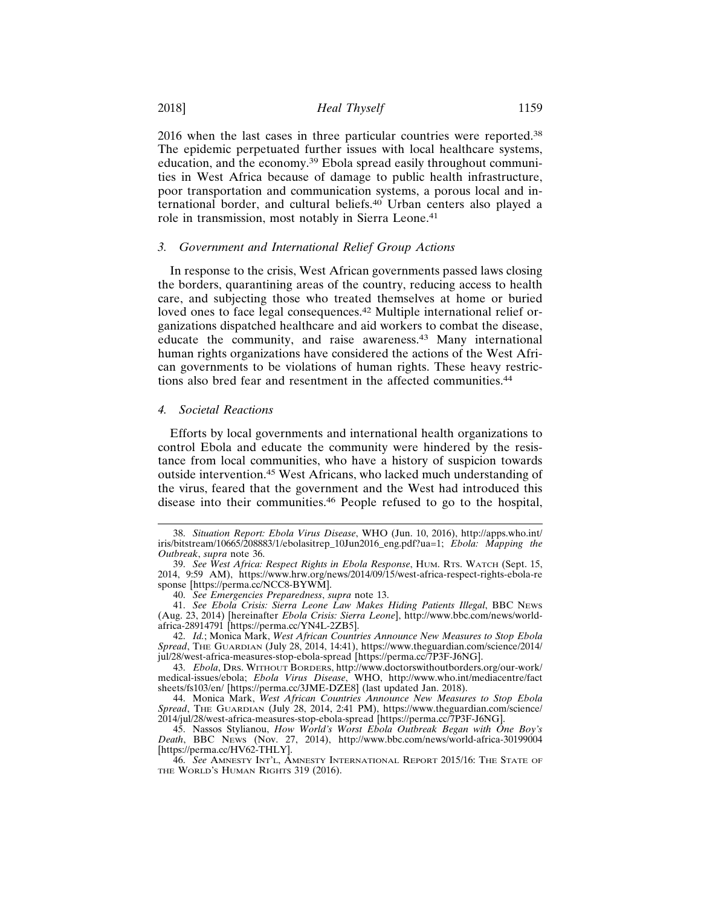2016 when the last cases in three particular countries were reported.<sup>38</sup> The epidemic perpetuated further issues with local healthcare systems, education, and the economy.39 Ebola spread easily throughout communities in West Africa because of damage to public health infrastructure, poor transportation and communication systems, a porous local and international border, and cultural beliefs.40 Urban centers also played a role in transmission, most notably in Sierra Leone.<sup>41</sup>

#### *3. Government and International Relief Group Actions*

In response to the crisis, West African governments passed laws closing the borders, quarantining areas of the country, reducing access to health care, and subjecting those who treated themselves at home or buried loved ones to face legal consequences.<sup>42</sup> Multiple international relief organizations dispatched healthcare and aid workers to combat the disease, educate the community, and raise awareness.43 Many international human rights organizations have considered the actions of the West African governments to be violations of human rights. These heavy restrictions also bred fear and resentment in the affected communities.<sup>44</sup>

#### *4. Societal Reactions*

Efforts by local governments and international health organizations to control Ebola and educate the community were hindered by the resistance from local communities, who have a history of suspicion towards outside intervention.45 West Africans, who lacked much understanding of the virus, feared that the government and the West had introduced this disease into their communities.46 People refused to go to the hospital,

42. *Id.*; Monica Mark, *West African Countries Announce New Measures to Stop Ebola Spread*, THE GUARDIAN (July 28, 2014, 14:41), https://www.theguardian.com/science/2014/ jul/28/west-africa-measures-stop-ebola-spread [https://perma.cc/7P3F-J6NG].

43. *Ebola*, DRS. WITHOUT BORDERS, http://www.doctorswithoutborders.org/our-work/ medical-issues/ebola; *Ebola Virus Disease*, WHO, http://www.who.int/mediacentre/fact sheets/fs103/en/ [https://perma.cc/3JME-DZE8] (last updated Jan. 2018).

44. Monica Mark, *West African Countries Announce New Measures to Stop Ebola Spread*, THE GUARDIAN (July 28, 2014, 2:41 PM), https://www.theguardian.com/science/ 2014/jul/28/west-africa-measures-stop-ebola-spread [https://perma.cc/7P3F-J6NG].

45. Nassos Stylianou, *How World's Worst Ebola Outbreak Began with One Boy's Death*, BBC NEWS (Nov. 27, 2014), http://www.bbc.com/news/world-africa-30199004 [https://perma.cc/HV62-THLY].

<sup>38.</sup> *Situation Report: Ebola Virus Disease*, WHO (Jun. 10, 2016), http://apps.who.int/ iris/bitstream/10665/208883/1/ebolasitrep\_10Jun2016\_eng.pdf?ua=1; *Ebola: Mapping the Outbreak*, *supra* note 36.

<sup>39.</sup> *See West Africa: Respect Rights in Ebola Response*, HUM. RTS. WATCH (Sept. 15, 2014, 9:59 AM), https://www.hrw.org/news/2014/09/15/west-africa-respect-rights-ebola-re sponse [https://perma.cc/NCC8-BYWM].

<sup>40.</sup> *See Emergencies Preparedness*, *supra* note 13.

<sup>41.</sup> *See Ebola Crisis: Sierra Leone Law Makes Hiding Patients Illegal*, BBC NEWS (Aug. 23, 2014) [hereinafter *Ebola Crisis: Sierra Leone*], http://www.bbc.com/news/worldafrica-28914791 [https://perma.cc/YN4L-2ZB5].

<sup>46.</sup> *See* AMNESTY INT'L, AMNESTY INTERNATIONAL REPORT 2015/16: THE STATE OF THE WORLD'S HUMAN RIGHTS 319 (2016).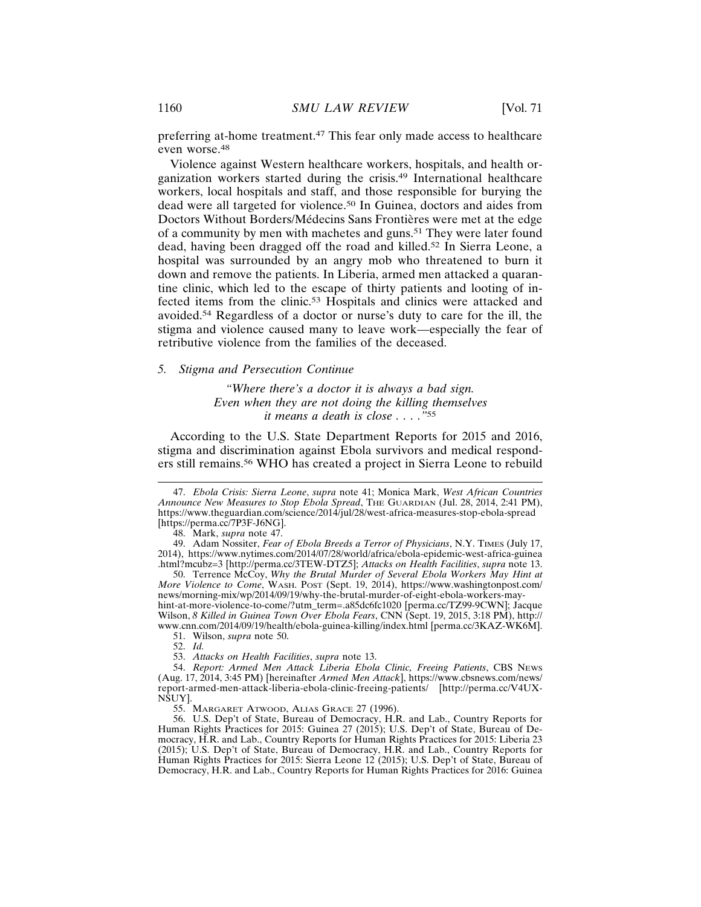preferring at-home treatment.47 This fear only made access to healthcare even worse.<sup>48</sup>

Violence against Western healthcare workers, hospitals, and health organization workers started during the crisis.49 International healthcare workers, local hospitals and staff, and those responsible for burying the dead were all targeted for violence.50 In Guinea, doctors and aides from Doctors Without Borders/Médecins Sans Frontières were met at the edge of a community by men with machetes and guns.<sup>51</sup> They were later found dead, having been dragged off the road and killed.<sup>52</sup> In Sierra Leone, a hospital was surrounded by an angry mob who threatened to burn it down and remove the patients. In Liberia, armed men attacked a quarantine clinic, which led to the escape of thirty patients and looting of infected items from the clinic.53 Hospitals and clinics were attacked and avoided.54 Regardless of a doctor or nurse's duty to care for the ill, the stigma and violence caused many to leave work—especially the fear of retributive violence from the families of the deceased.

#### *5. Stigma and Persecution Continue*

*"Where there's a doctor it is always a bad sign. Even when they are not doing the killing themselves it means a death is close . . . ."*<sup>55</sup>

According to the U.S. State Department Reports for 2015 and 2016, stigma and discrimination against Ebola survivors and medical responders still remains.56 WHO has created a project in Sierra Leone to rebuild

50. Terrence McCoy, *Why the Brutal Murder of Several Ebola Workers May Hint at More Violence to Come*, WASH. POST (Sept. 19, 2014), https://www.washingtonpost.com/ news/morning-mix/wp/2014/09/19/why-the-brutal-murder-of-eight-ebola-workers-mayhint-at-more-violence-to-come/?utm\_term=.a85dc6fc1020 [perma.cc/TZ99-9CWN]; Jacque Wilson, *8 Killed in Guinea Town Over Ebola Fears*, CNN (Sept. 19, 2015, 3:18 PM), http:// www.cnn.com/2014/09/19/health/ebola-guinea-killing/index.html [perma.cc/3KAZ-WK6M].

51. Wilson, *supra* note 50.

52. *Id.*

53. *Attacks on Health Facilities*, *supra* note 13.

54. *Report: Armed Men Attack Liberia Ebola Clinic, Freeing Patients*, CBS NEWS (Aug. 17, 2014, 3:45 PM) [hereinafter *Armed Men Attack*], https://www.cbsnews.com/news/ report-armed-men-attack-liberia-ebola-clinic-freeing-patients/ [http://perma.cc/V4UX-NSUY].

55. MARGARET ATWOOD, ALIAS GRACE 27 (1996).

56. U.S. Dep't of State, Bureau of Democracy, H.R. and Lab., Country Reports for Human Rights Practices for 2015: Guinea 27 (2015); U.S. Dep't of State, Bureau of Democracy, H.R. and Lab., Country Reports for Human Rights Practices for 2015: Liberia 23 (2015); U.S. Dep't of State, Bureau of Democracy, H.R. and Lab., Country Reports for Human Rights Practices for 2015: Sierra Leone 12 (2015); U.S. Dep't of State, Bureau of Democracy, H.R. and Lab., Country Reports for Human Rights Practices for 2016: Guinea

<sup>47.</sup> *Ebola Crisis: Sierra Leone*, *supra* note 41; Monica Mark, *West African Countries Announce New Measures to Stop Ebola Spread*, THE GUARDIAN (Jul. 28, 2014, 2:41 PM), https://www.theguardian.com/science/2014/jul/28/west-africa-measures-stop-ebola-spread [https://perma.cc/7P3F-J6NG].

<sup>48.</sup> Mark, *supra* note 47.

<sup>49.</sup> Adam Nossiter, *Fear of Ebola Breeds a Terror of Physicians*, N.Y. TIMES (July 17, 2014), https://www.nytimes.com/2014/07/28/world/africa/ebola-epidemic-west-africa-guinea .html?mcubz=3 [http://perma.cc/3TEW-DTZ5]; *Attacks on Health Facilities*, *supra* note 13.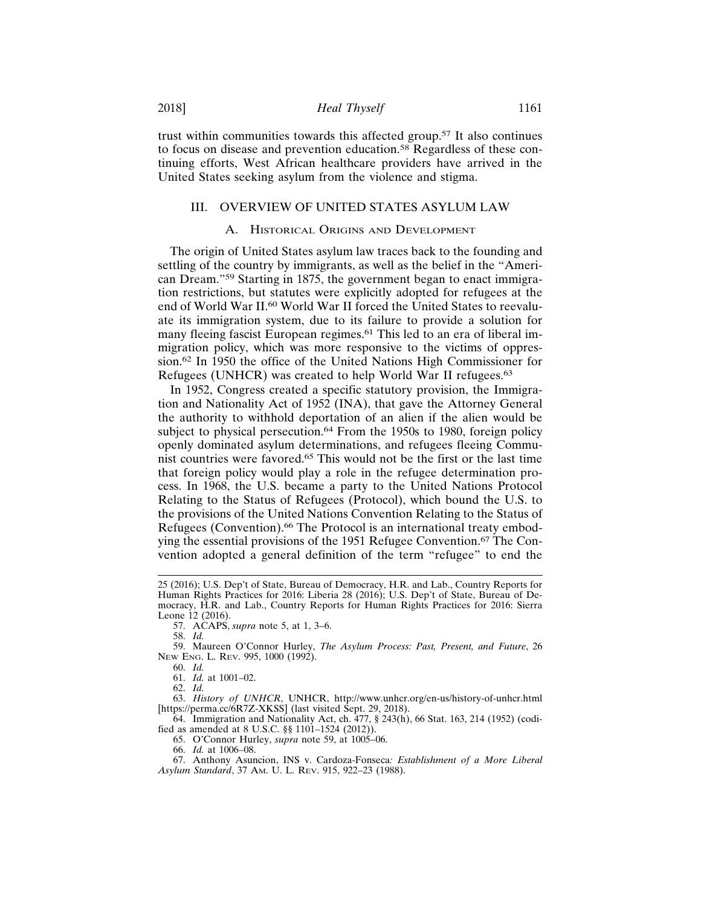trust within communities towards this affected group.57 It also continues to focus on disease and prevention education.58 Regardless of these continuing efforts, West African healthcare providers have arrived in the United States seeking asylum from the violence and stigma.

# III. OVERVIEW OF UNITED STATES ASYLUM LAW

### A. HISTORICAL ORIGINS AND DEVELOPMENT

The origin of United States asylum law traces back to the founding and settling of the country by immigrants, as well as the belief in the "American Dream."59 Starting in 1875, the government began to enact immigration restrictions, but statutes were explicitly adopted for refugees at the end of World War II.60 World War II forced the United States to reevaluate its immigration system, due to its failure to provide a solution for many fleeing fascist European regimes.<sup>61</sup> This led to an era of liberal immigration policy, which was more responsive to the victims of oppression.62 In 1950 the office of the United Nations High Commissioner for Refugees (UNHCR) was created to help World War II refugees.<sup>63</sup>

In 1952, Congress created a specific statutory provision, the Immigration and Nationality Act of 1952 (INA), that gave the Attorney General the authority to withhold deportation of an alien if the alien would be subject to physical persecution.<sup>64</sup> From the 1950s to 1980, foreign policy openly dominated asylum determinations, and refugees fleeing Communist countries were favored.65 This would not be the first or the last time that foreign policy would play a role in the refugee determination process. In 1968, the U.S. became a party to the United Nations Protocol Relating to the Status of Refugees (Protocol), which bound the U.S. to the provisions of the United Nations Convention Relating to the Status of Refugees (Convention).<sup>66</sup> The Protocol is an international treaty embodying the essential provisions of the 1951 Refugee Convention.67 The Convention adopted a general definition of the term "refugee" to end the

57. ACAPS, *supra* note 5, at 1, 3–6.

58. *Id.*

59. Maureen O'Connor Hurley, *The Asylum Process: Past, Present, and Future*, 26 NEW ENG. L. REV. 995, 1000 (1992).

60. *Id.*

61. *Id.* at 1001–02.

62. *Id.*

63. *History of UNHCR*, UNHCR, http://www.unhcr.org/en-us/history-of-unhcr.html [https://perma.cc/6R7Z-XKSS] (last visited Sept. 29, 2018).

64. Immigration and Nationality Act, ch. 477, § 243(h), 66 Stat. 163, 214 (1952) (codified as amended at 8 U.S.C. §§ 1101–1524 (2012)).

65. O'Connor Hurley, *supra* note 59, at 1005–06.

66. *Id.* at 1006–08.

67. Anthony Asuncion, INS v. Cardoza-Fonseca*: Establishment of a More Liberal Asylum Standard*, 37 AM. U. L. REV. 915, 922–23 (1988).

<sup>25 (2016);</sup> U.S. Dep't of State, Bureau of Democracy, H.R. and Lab., Country Reports for Human Rights Practices for 2016: Liberia 28 (2016); U.S. Dep't of State, Bureau of Democracy, H.R. and Lab., Country Reports for Human Rights Practices for 2016: Sierra Leone 12 (2016).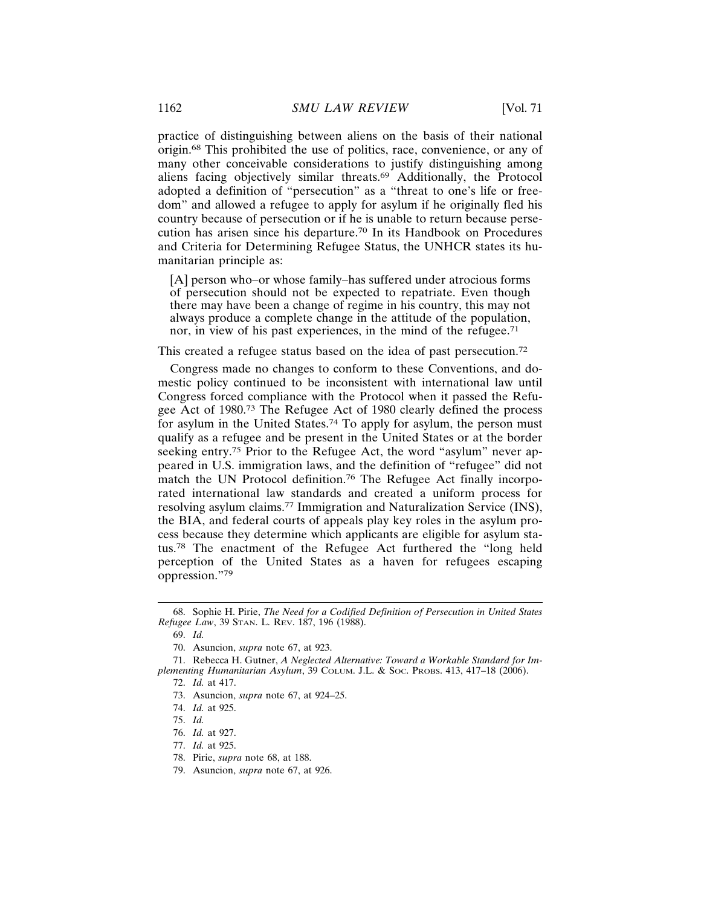practice of distinguishing between aliens on the basis of their national origin.68 This prohibited the use of politics, race, convenience, or any of many other conceivable considerations to justify distinguishing among aliens facing objectively similar threats.69 Additionally, the Protocol adopted a definition of "persecution" as a "threat to one's life or freedom" and allowed a refugee to apply for asylum if he originally fled his country because of persecution or if he is unable to return because persecution has arisen since his departure.70 In its Handbook on Procedures and Criteria for Determining Refugee Status, the UNHCR states its humanitarian principle as:

[A] person who–or whose family–has suffered under atrocious forms of persecution should not be expected to repatriate. Even though there may have been a change of regime in his country, this may not always produce a complete change in the attitude of the population, nor, in view of his past experiences, in the mind of the refugee.<sup>71</sup>

This created a refugee status based on the idea of past persecution.<sup>72</sup>

Congress made no changes to conform to these Conventions, and domestic policy continued to be inconsistent with international law until Congress forced compliance with the Protocol when it passed the Refugee Act of 1980.73 The Refugee Act of 1980 clearly defined the process for asylum in the United States.74 To apply for asylum, the person must qualify as a refugee and be present in the United States or at the border seeking entry.<sup>75</sup> Prior to the Refugee Act, the word "asylum" never appeared in U.S. immigration laws, and the definition of "refugee" did not match the UN Protocol definition.76 The Refugee Act finally incorporated international law standards and created a uniform process for resolving asylum claims.77 Immigration and Naturalization Service (INS), the BIA, and federal courts of appeals play key roles in the asylum process because they determine which applicants are eligible for asylum status.78 The enactment of the Refugee Act furthered the "long held perception of the United States as a haven for refugees escaping oppression."<sup>79</sup>

78. Pirie, *supra* note 68, at 188.

<sup>68.</sup> Sophie H. Pirie, *The Need for a Codified Definition of Persecution in United States Refugee Law*, 39 STAN. L. REV. 187, 196 (1988).

<sup>69.</sup> *Id.*

<sup>70.</sup> Asuncion, *supra* note 67, at 923.

<sup>71.</sup> Rebecca H. Gutner, *A Neglected Alternative: Toward a Workable Standard for Implementing Humanitarian Asylum*, 39 COLUM. J.L. & SOC. PROBS. 413, 417–18 (2006).

<sup>72.</sup> *Id.* at 417.

<sup>73.</sup> Asuncion, *supra* note 67, at 924–25.

<sup>74.</sup> *Id.* at 925.

<sup>75.</sup> *Id.*

<sup>76.</sup> *Id.* at 927.

<sup>77.</sup> *Id.* at 925.

<sup>79.</sup> Asuncion, *supra* note 67, at 926.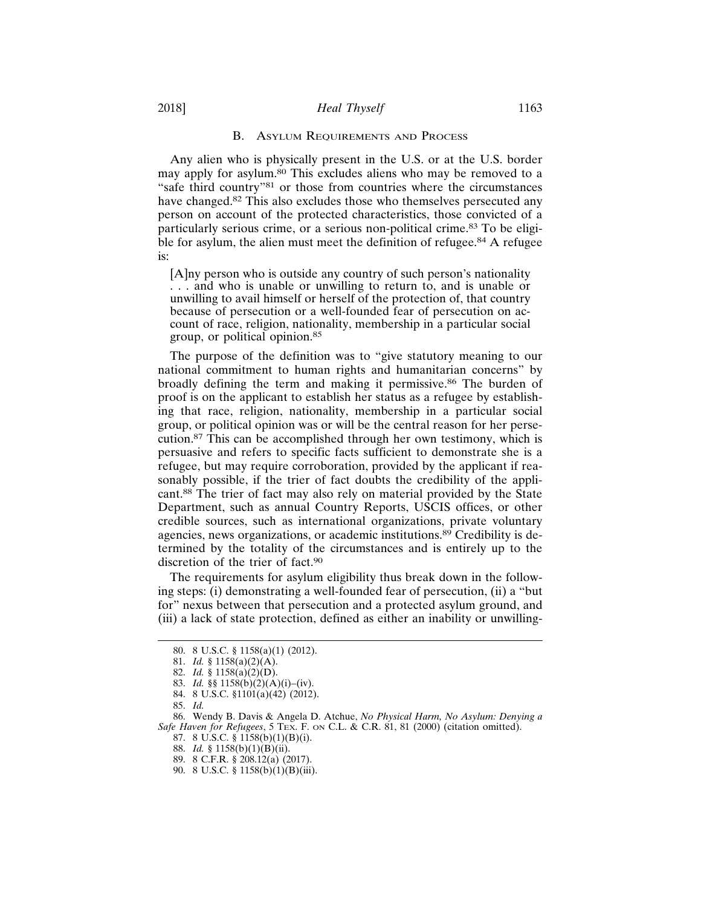#### B. ASYLUM REQUIREMENTS AND PROCESS

Any alien who is physically present in the U.S. or at the U.S. border may apply for asylum.<sup>80</sup> This excludes aliens who may be removed to a "safe third country"81 or those from countries where the circumstances have changed.82 This also excludes those who themselves persecuted any person on account of the protected characteristics, those convicted of a particularly serious crime, or a serious non-political crime.83 To be eligible for asylum, the alien must meet the definition of refugee.<sup>84</sup> A refugee is:

[A]ny person who is outside any country of such person's nationality . . . and who is unable or unwilling to return to, and is unable or unwilling to avail himself or herself of the protection of, that country because of persecution or a well-founded fear of persecution on account of race, religion, nationality, membership in a particular social group, or political opinion.<sup>85</sup>

The purpose of the definition was to "give statutory meaning to our national commitment to human rights and humanitarian concerns" by broadly defining the term and making it permissive.<sup>86</sup> The burden of proof is on the applicant to establish her status as a refugee by establishing that race, religion, nationality, membership in a particular social group, or political opinion was or will be the central reason for her persecution.87 This can be accomplished through her own testimony, which is persuasive and refers to specific facts sufficient to demonstrate she is a refugee, but may require corroboration, provided by the applicant if reasonably possible, if the trier of fact doubts the credibility of the applicant.88 The trier of fact may also rely on material provided by the State Department, such as annual Country Reports, USCIS offices, or other credible sources, such as international organizations, private voluntary agencies, news organizations, or academic institutions.<sup>89</sup> Credibility is determined by the totality of the circumstances and is entirely up to the discretion of the trier of fact.<sup>90</sup>

The requirements for asylum eligibility thus break down in the following steps: (i) demonstrating a well-founded fear of persecution, (ii) a "but for" nexus between that persecution and a protected asylum ground, and (iii) a lack of state protection, defined as either an inability or unwilling-

84. 8 U.S.C. §1101(a)(42) (2012).

<sup>80. 8</sup> U.S.C. § 1158(a)(1) (2012).

<sup>81.</sup> *Id.* § 1158(a)(2)(A).

<sup>82.</sup> *Id.* § 1158(a)(2)(D).

<sup>83.</sup> *Id.* §§ 1158(b)(2)(A)(i)–(iv).

<sup>85.</sup> *Id.*

<sup>86.</sup> Wendy B. Davis & Angela D. Atchue, *No Physical Harm, No Asylum: Denying a Safe Haven for Refugees*, 5 TEX. F. ON C.L. & C.R. 81, 81 (2000) (citation omitted).

<sup>87. 8</sup> U.S.C. § 1158(b)(1)(B)(i).

<sup>88.</sup> *Id.* § 1158(b)(1)(B)(ii).

<sup>89. 8</sup> C.F.R. § 208.12(a) (2017).

<sup>90. 8</sup> U.S.C. § 1158(b)(1)(B)(iii).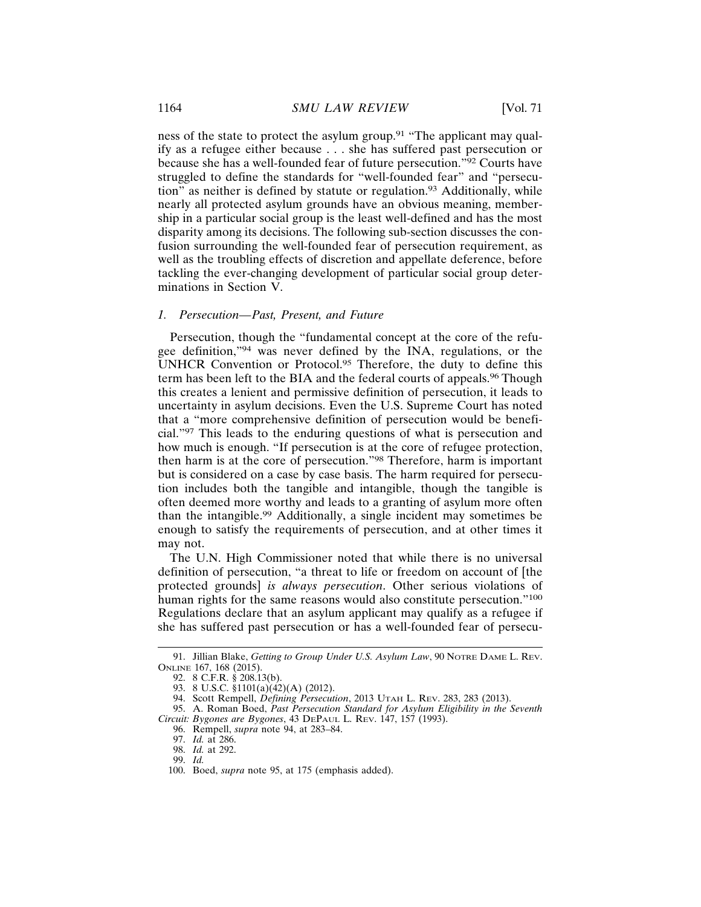ness of the state to protect the asylum group.<sup>91</sup> "The applicant may qualify as a refugee either because . . . she has suffered past persecution or because she has a well-founded fear of future persecution."92 Courts have struggled to define the standards for "well-founded fear" and "persecution" as neither is defined by statute or regulation.93 Additionally, while nearly all protected asylum grounds have an obvious meaning, membership in a particular social group is the least well-defined and has the most disparity among its decisions. The following sub-section discusses the confusion surrounding the well-founded fear of persecution requirement, as well as the troubling effects of discretion and appellate deference, before tackling the ever-changing development of particular social group determinations in Section V.

## *1. Persecution—Past, Present, and Future*

Persecution, though the "fundamental concept at the core of the refugee definition,"94 was never defined by the INA, regulations, or the UNHCR Convention or Protocol.95 Therefore, the duty to define this term has been left to the BIA and the federal courts of appeals.<sup>96</sup> Though this creates a lenient and permissive definition of persecution, it leads to uncertainty in asylum decisions. Even the U.S. Supreme Court has noted that a "more comprehensive definition of persecution would be beneficial."97 This leads to the enduring questions of what is persecution and how much is enough. "If persecution is at the core of refugee protection, then harm is at the core of persecution."98 Therefore, harm is important but is considered on a case by case basis. The harm required for persecution includes both the tangible and intangible, though the tangible is often deemed more worthy and leads to a granting of asylum more often than the intangible.99 Additionally, a single incident may sometimes be enough to satisfy the requirements of persecution, and at other times it may not.

The U.N. High Commissioner noted that while there is no universal definition of persecution, "a threat to life or freedom on account of [the protected grounds] *is always persecution*. Other serious violations of human rights for the same reasons would also constitute persecution."<sup>100</sup> Regulations declare that an asylum applicant may qualify as a refugee if she has suffered past persecution or has a well-founded fear of persecu-

<sup>91.</sup> Jillian Blake, *Getting to Group Under U.S. Asylum Law*, 90 NOTRE DAME L. REV. ONLINE 167, 168 (2015).

<sup>92. 8</sup> C.F.R. § 208.13(b).

<sup>93. 8</sup> U.S.C. §1101(a)(42)(A) (2012).

<sup>94.</sup> Scott Rempell, *Defining Persecution*, 2013 UTAH L. REV. 283, 283 (2013).

<sup>95.</sup> A. Roman Boed, *Past Persecution Standard for Asylum Eligibility in the Seventh Circuit: Bygones are Bygones*, 43 DEPAUL L. REV. 147, 157 (1993).

<sup>96.</sup> Rempell, *supra* note 94, at 283–84.

<sup>97.</sup> *Id.* at 286.

<sup>98.</sup> *Id.* at 292.

<sup>99.</sup> *Id.*

<sup>100.</sup> Boed, *supra* note 95, at 175 (emphasis added).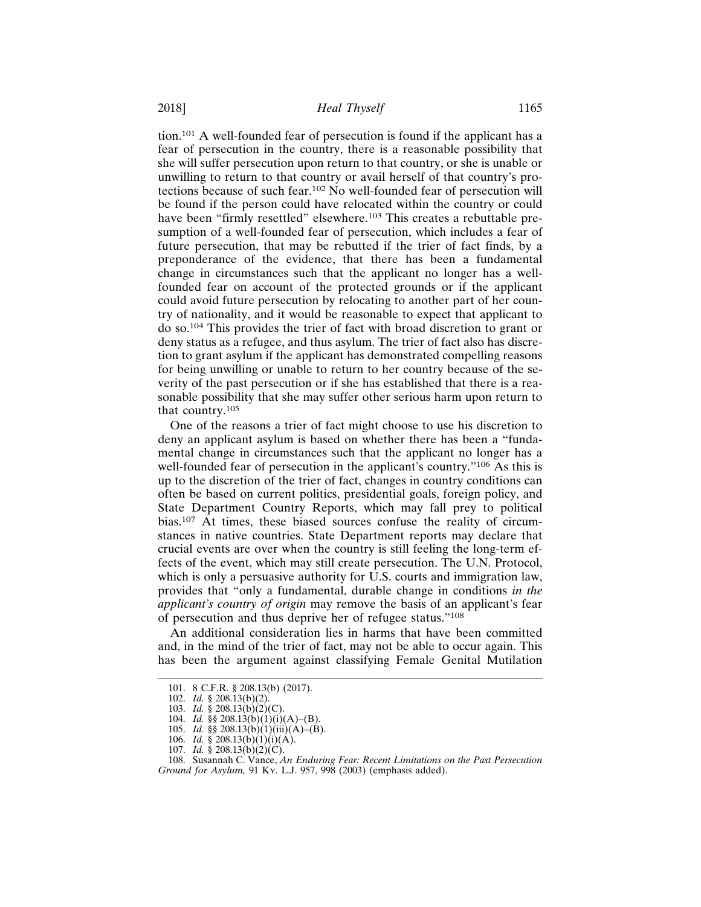tion.101 A well-founded fear of persecution is found if the applicant has a fear of persecution in the country, there is a reasonable possibility that she will suffer persecution upon return to that country, or she is unable or unwilling to return to that country or avail herself of that country's protections because of such fear.102 No well-founded fear of persecution will be found if the person could have relocated within the country or could have been "firmly resettled" elsewhere.<sup>103</sup> This creates a rebuttable presumption of a well-founded fear of persecution, which includes a fear of future persecution, that may be rebutted if the trier of fact finds, by a preponderance of the evidence, that there has been a fundamental change in circumstances such that the applicant no longer has a wellfounded fear on account of the protected grounds or if the applicant could avoid future persecution by relocating to another part of her country of nationality, and it would be reasonable to expect that applicant to do so.104 This provides the trier of fact with broad discretion to grant or deny status as a refugee, and thus asylum. The trier of fact also has discretion to grant asylum if the applicant has demonstrated compelling reasons for being unwilling or unable to return to her country because of the severity of the past persecution or if she has established that there is a reasonable possibility that she may suffer other serious harm upon return to that country.<sup>105</sup>

One of the reasons a trier of fact might choose to use his discretion to deny an applicant asylum is based on whether there has been a "fundamental change in circumstances such that the applicant no longer has a well-founded fear of persecution in the applicant's country."106 As this is up to the discretion of the trier of fact, changes in country conditions can often be based on current politics, presidential goals, foreign policy, and State Department Country Reports, which may fall prey to political bias.107 At times, these biased sources confuse the reality of circumstances in native countries. State Department reports may declare that crucial events are over when the country is still feeling the long-term effects of the event, which may still create persecution. The U.N. Protocol, which is only a persuasive authority for U.S. courts and immigration law, provides that "only a fundamental, durable change in conditions *in the applicant's country of origin* may remove the basis of an applicant's fear of persecution and thus deprive her of refugee status."<sup>108</sup>

An additional consideration lies in harms that have been committed and, in the mind of the trier of fact, may not be able to occur again. This has been the argument against classifying Female Genital Mutilation

<sup>101. 8</sup> C.F.R. § 208.13(b) (2017).

<sup>102.</sup> *Id.* § 208.13(b)(2).

<sup>103.</sup> *Id.* § 208.13(b)(2)(C).

<sup>104.</sup> *Id.* §§ 208.13(b)(1)(i)(A)–(B).

<sup>105.</sup> *Id.* §§ 208.13(b)(1)(iii)(A)–(B).

<sup>106.</sup> *Id.* § 208.13(b)(1)(i)(A).

<sup>107.</sup> *Id.* § 208.13(b)(2)(C).

<sup>108.</sup> Susannah C. Vance, *An Enduring Fear: Recent Limitations on the Past Persecution Ground for Asylum,* 91 KY. L.J. 957, 998 (2003) (emphasis added).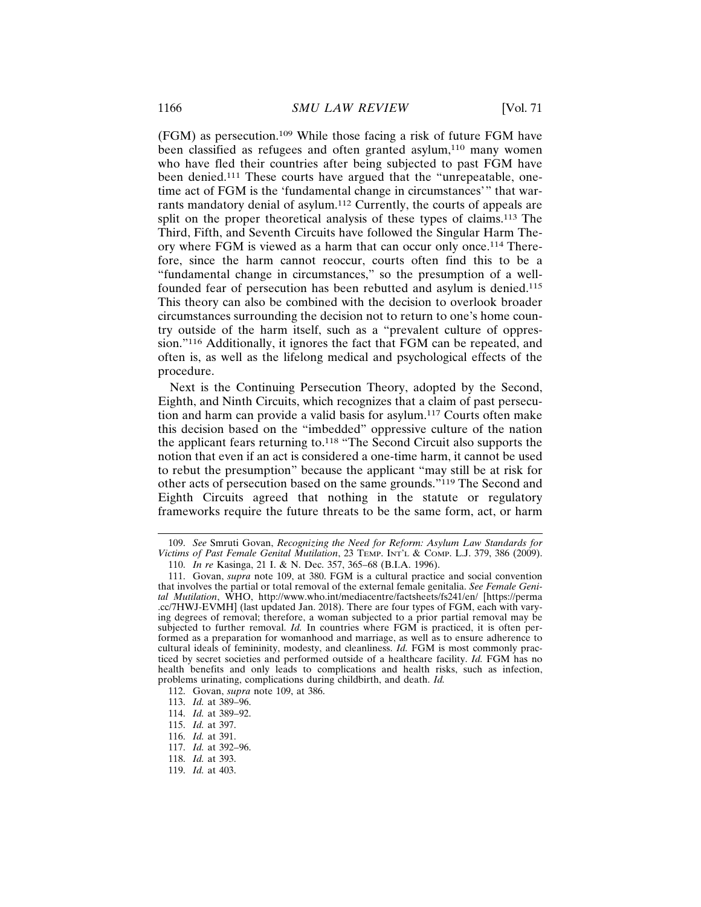(FGM) as persecution.109 While those facing a risk of future FGM have been classified as refugees and often granted asylum,<sup>110</sup> many women who have fled their countries after being subjected to past FGM have been denied.111 These courts have argued that the "unrepeatable, onetime act of FGM is the 'fundamental change in circumstances'" that warrants mandatory denial of asylum.112 Currently, the courts of appeals are split on the proper theoretical analysis of these types of claims.<sup>113</sup> The Third, Fifth, and Seventh Circuits have followed the Singular Harm Theory where FGM is viewed as a harm that can occur only once.114 Therefore, since the harm cannot reoccur, courts often find this to be a "fundamental change in circumstances," so the presumption of a wellfounded fear of persecution has been rebutted and asylum is denied.<sup>115</sup> This theory can also be combined with the decision to overlook broader circumstances surrounding the decision not to return to one's home country outside of the harm itself, such as a "prevalent culture of oppression."116 Additionally, it ignores the fact that FGM can be repeated, and often is, as well as the lifelong medical and psychological effects of the procedure.

Next is the Continuing Persecution Theory, adopted by the Second, Eighth, and Ninth Circuits, which recognizes that a claim of past persecution and harm can provide a valid basis for asylum.117 Courts often make this decision based on the "imbedded" oppressive culture of the nation the applicant fears returning to.118 "The Second Circuit also supports the notion that even if an act is considered a one-time harm, it cannot be used to rebut the presumption" because the applicant "may still be at risk for other acts of persecution based on the same grounds."119 The Second and Eighth Circuits agreed that nothing in the statute or regulatory frameworks require the future threats to be the same form, act, or harm

119. *Id.* at 403.

<sup>109.</sup> *See* Smruti Govan, *Recognizing the Need for Reform: Asylum Law Standards for Victims of Past Female Genital Mutilation*, 23 TEMP. INT'L & COMP. L.J. 379, 386 (2009).

<sup>110.</sup> *In re* Kasinga, 21 I. & N. Dec. 357, 365–68 (B.I.A. 1996).

<sup>111.</sup> Govan, *supra* note 109, at 380. FGM is a cultural practice and social convention that involves the partial or total removal of the external female genitalia. *See Female Genital Mutilation*, WHO, http://www.who.int/mediacentre/factsheets/fs241/en/ [https://perma .cc/7HWJ-EVMH] (last updated Jan. 2018). There are four types of FGM, each with varying degrees of removal; therefore, a woman subjected to a prior partial removal may be subjected to further removal. *Id.* In countries where FGM is practiced, it is often performed as a preparation for womanhood and marriage, as well as to ensure adherence to cultural ideals of femininity, modesty, and cleanliness. *Id.* FGM is most commonly practiced by secret societies and performed outside of a healthcare facility. *Id.* FGM has no health benefits and only leads to complications and health risks, such as infection, problems urinating, complications during childbirth, and death. *Id.*

<sup>112.</sup> Govan, *supra* note 109, at 386.

<sup>113.</sup> *Id.* at 389–96.

<sup>114.</sup> *Id.* at 389–92.

<sup>115.</sup> *Id.* at 397.

<sup>116.</sup> *Id.* at 391.

<sup>117.</sup> *Id.* at 392–96.

<sup>118.</sup> *Id.* at 393.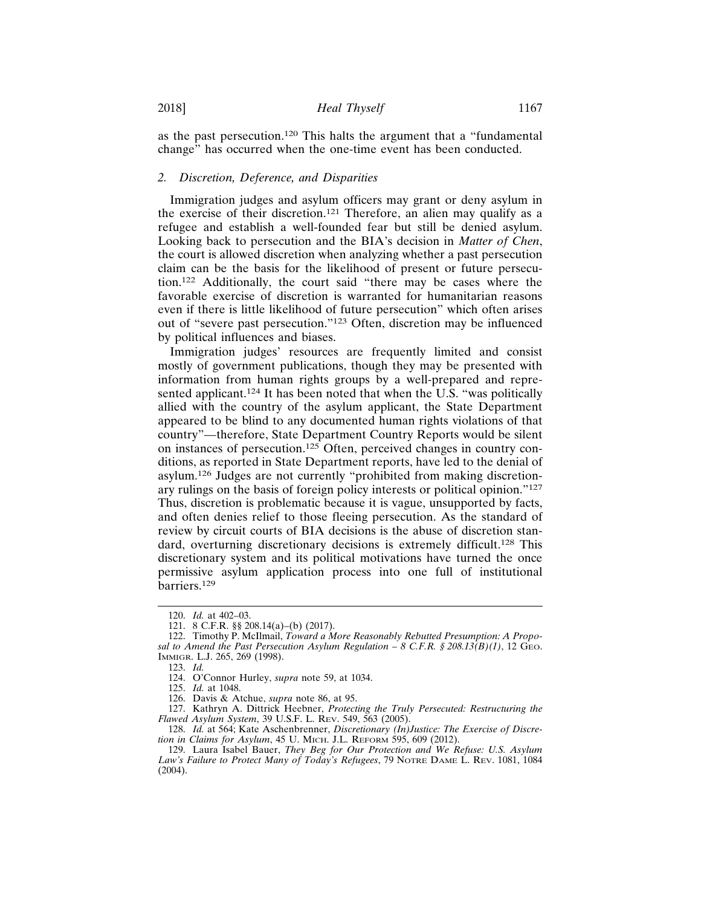as the past persecution.120 This halts the argument that a "fundamental change" has occurred when the one-time event has been conducted.

# *2. Discretion, Deference, and Disparities*

Immigration judges and asylum officers may grant or deny asylum in the exercise of their discretion.121 Therefore, an alien may qualify as a refugee and establish a well-founded fear but still be denied asylum. Looking back to persecution and the BIA's decision in *Matter of Chen*, the court is allowed discretion when analyzing whether a past persecution claim can be the basis for the likelihood of present or future persecution.122 Additionally, the court said "there may be cases where the favorable exercise of discretion is warranted for humanitarian reasons even if there is little likelihood of future persecution" which often arises out of "severe past persecution."123 Often, discretion may be influenced by political influences and biases.

Immigration judges' resources are frequently limited and consist mostly of government publications, though they may be presented with information from human rights groups by a well-prepared and represented applicant.<sup>124</sup> It has been noted that when the U.S. "was politically allied with the country of the asylum applicant, the State Department appeared to be blind to any documented human rights violations of that country"—therefore, State Department Country Reports would be silent on instances of persecution.125 Often, perceived changes in country conditions, as reported in State Department reports, have led to the denial of asylum.126 Judges are not currently "prohibited from making discretionary rulings on the basis of foreign policy interests or political opinion."<sup>127</sup> Thus, discretion is problematic because it is vague, unsupported by facts, and often denies relief to those fleeing persecution. As the standard of review by circuit courts of BIA decisions is the abuse of discretion standard, overturning discretionary decisions is extremely difficult.128 This discretionary system and its political motivations have turned the once permissive asylum application process into one full of institutional barriers.129

<sup>120.</sup> *Id.* at 402–03.

<sup>121. 8</sup> C.F.R. §§ 208.14(a)–(b) (2017).

<sup>122.</sup> Timothy P. McIlmail, *Toward a More Reasonably Rebutted Presumption: A Proposal to Amend the Past Persecution Asylum Regulation – 8 C.F.R. § 208.13(B)(1)*, 12 GEO. IMMIGR. L.J. 265, 269 (1998).

<sup>123.</sup> *Id.*

<sup>124.</sup> O'Connor Hurley, *supra* note 59, at 1034.

<sup>125.</sup> *Id.* at 1048.

<sup>126.</sup> Davis & Atchue, *supra* note 86, at 95.

<sup>127.</sup> Kathryn A. Dittrick Heebner, *Protecting the Truly Persecuted: Restructuring the Flawed Asylum System*, 39 U.S.F. L. REV. 549, 563 (2005).

<sup>128.</sup> *Id.* at 564; Kate Aschenbrenner, *Discretionary (In)Justice: The Exercise of Discretion in Claims for Asylum*, 45 U. MICH. J.L. REFORM 595, 609 (2012).

<sup>129.</sup> Laura Isabel Bauer, *They Beg for Our Protection and We Refuse: U.S. Asylum Law's Failure to Protect Many of Today's Refugees*, 79 NOTRE DAME L. REV. 1081, 1084 (2004).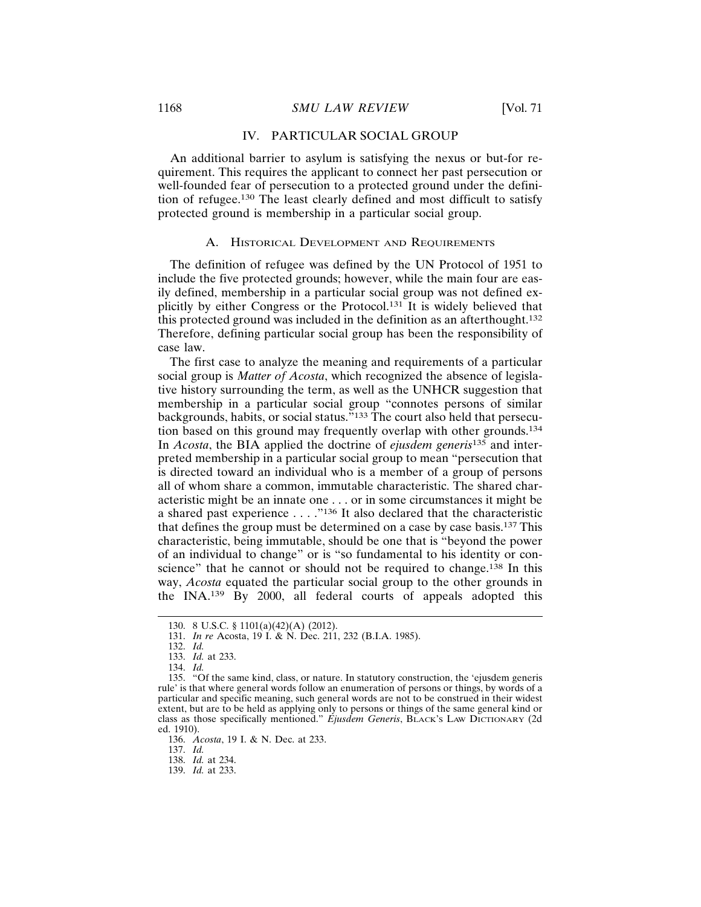#### IV. PARTICULAR SOCIAL GROUP

An additional barrier to asylum is satisfying the nexus or but-for requirement. This requires the applicant to connect her past persecution or well-founded fear of persecution to a protected ground under the definition of refugee.130 The least clearly defined and most difficult to satisfy protected ground is membership in a particular social group.

#### A. HISTORICAL DEVELOPMENT AND REQUIREMENTS

The definition of refugee was defined by the UN Protocol of 1951 to include the five protected grounds; however, while the main four are easily defined, membership in a particular social group was not defined explicitly by either Congress or the Protocol.131 It is widely believed that this protected ground was included in the definition as an afterthought.<sup>132</sup> Therefore, defining particular social group has been the responsibility of case law.

The first case to analyze the meaning and requirements of a particular social group is *Matter of Acosta*, which recognized the absence of legislative history surrounding the term, as well as the UNHCR suggestion that membership in a particular social group "connotes persons of similar backgrounds, habits, or social status."133 The court also held that persecution based on this ground may frequently overlap with other grounds.<sup>134</sup> In *Acosta*, the BIA applied the doctrine of *ejusdem generis*135 and interpreted membership in a particular social group to mean "persecution that is directed toward an individual who is a member of a group of persons all of whom share a common, immutable characteristic. The shared characteristic might be an innate one . . . or in some circumstances it might be a shared past experience . . . ."136 It also declared that the characteristic that defines the group must be determined on a case by case basis.137 This characteristic, being immutable, should be one that is "beyond the power of an individual to change" or is "so fundamental to his identity or conscience" that he cannot or should not be required to change.<sup>138</sup> In this way, *Acosta* equated the particular social group to the other grounds in the INA.139 By 2000, all federal courts of appeals adopted this

136. *Acosta*, 19 I. & N. Dec. at 233.

137. *Id.*

139. *Id.* at 233.

<sup>130. 8</sup> U.S.C. § 1101(a)(42)(A) (2012).

<sup>131.</sup> *In re* Acosta, 19 I. & N. Dec. 211, 232 (B.I.A. 1985).

<sup>132.</sup> *Id.*

<sup>133.</sup> *Id.* at 233.

<sup>134.</sup> *Id.*

<sup>135. &</sup>quot;Of the same kind, class, or nature. In statutory construction, the 'ejusdem generis rule' is that where general words follow an enumeration of persons or things, by words of a particular and specific meaning, such general words are not to be construed in their widest extent, but are to be held as applying only to persons or things of the same general kind or class as those specifically mentioned." *Ejusdem Generis*, BLACK'S LAW DICTIONARY (2d ed. 1910).

<sup>138.</sup> *Id.* at 234.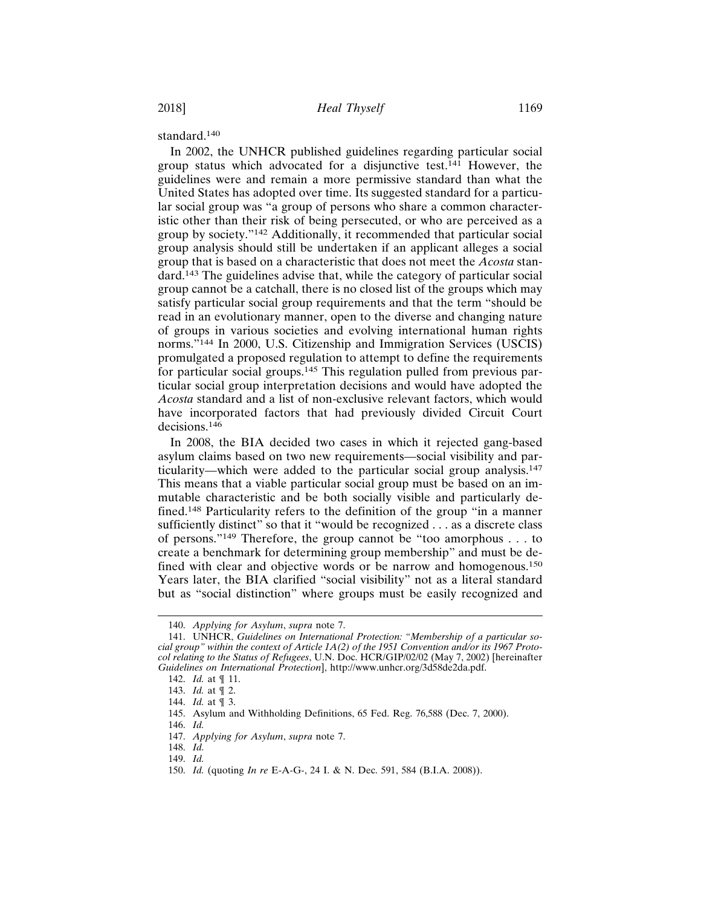standard.140

In 2002, the UNHCR published guidelines regarding particular social group status which advocated for a disjunctive test.141 However, the guidelines were and remain a more permissive standard than what the United States has adopted over time. Its suggested standard for a particular social group was "a group of persons who share a common characteristic other than their risk of being persecuted, or who are perceived as a group by society."142 Additionally, it recommended that particular social group analysis should still be undertaken if an applicant alleges a social group that is based on a characteristic that does not meet the *Acosta* standard.143 The guidelines advise that, while the category of particular social group cannot be a catchall, there is no closed list of the groups which may satisfy particular social group requirements and that the term "should be read in an evolutionary manner, open to the diverse and changing nature of groups in various societies and evolving international human rights norms."144 In 2000, U.S. Citizenship and Immigration Services (USCIS) promulgated a proposed regulation to attempt to define the requirements for particular social groups.<sup>145</sup> This regulation pulled from previous particular social group interpretation decisions and would have adopted the *Acosta* standard and a list of non-exclusive relevant factors, which would have incorporated factors that had previously divided Circuit Court decisions.<sup>146</sup>

In 2008, the BIA decided two cases in which it rejected gang-based asylum claims based on two new requirements—social visibility and particularity—which were added to the particular social group analysis.<sup>147</sup> This means that a viable particular social group must be based on an immutable characteristic and be both socially visible and particularly defined.148 Particularity refers to the definition of the group "in a manner sufficiently distinct" so that it "would be recognized . . . as a discrete class of persons."149 Therefore, the group cannot be "too amorphous . . . to create a benchmark for determining group membership" and must be defined with clear and objective words or be narrow and homogenous.<sup>150</sup> Years later, the BIA clarified "social visibility" not as a literal standard but as "social distinction" where groups must be easily recognized and

<sup>140.</sup> *Applying for Asylum*, *supra* note 7.

<sup>141.</sup> UNHCR, *Guidelines on International Protection: "Membership of a particular social group" within the context of Article 1A(2) of the 1951 Convention and/or its 1967 Protocol relating to the Status of Refugees*, U.N. Doc. HCR/GIP/02/02 (May 7, 2002) [hereinafter *Guidelines on International Protection*], http://www.unhcr.org/3d58de2da.pdf.

<sup>142.</sup> *Id.* at ¶ 11.

<sup>143.</sup> *Id.* at ¶ 2.

<sup>144.</sup> *Id.* at ¶ 3.

<sup>145.</sup> Asylum and Withholding Definitions, 65 Fed. Reg. 76,588 (Dec. 7, 2000).

<sup>146.</sup> *Id.*

<sup>147.</sup> *Applying for Asylum*, *supra* note 7.

<sup>148.</sup> *Id.*

<sup>149.</sup> *Id.*

<sup>150.</sup> *Id.* (quoting *In re* E-A-G-, 24 I. & N. Dec. 591, 584 (B.I.A. 2008)).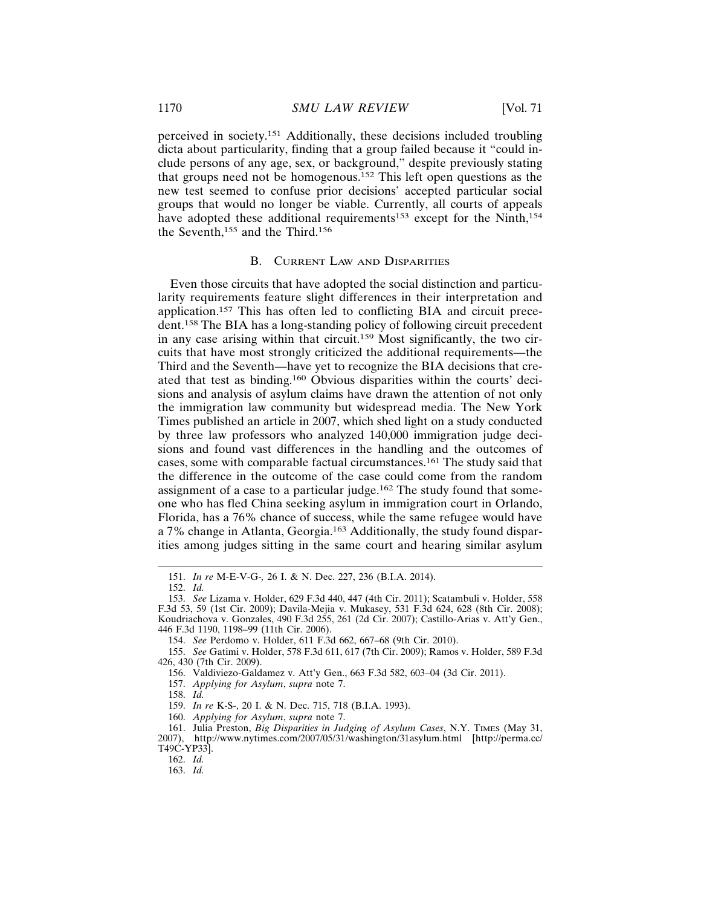perceived in society.151 Additionally, these decisions included troubling dicta about particularity, finding that a group failed because it "could include persons of any age, sex, or background," despite previously stating that groups need not be homogenous.152 This left open questions as the new test seemed to confuse prior decisions' accepted particular social groups that would no longer be viable. Currently, all courts of appeals have adopted these additional requirements<sup>153</sup> except for the Ninth,<sup>154</sup> the Seventh,<sup>155</sup> and the Third.<sup>156</sup>

## B. CURRENT LAW AND DISPARITIES

Even those circuits that have adopted the social distinction and particularity requirements feature slight differences in their interpretation and application.157 This has often led to conflicting BIA and circuit precedent.158 The BIA has a long-standing policy of following circuit precedent in any case arising within that circuit.<sup>159</sup> Most significantly, the two circuits that have most strongly criticized the additional requirements—the Third and the Seventh—have yet to recognize the BIA decisions that created that test as binding.160 Obvious disparities within the courts' decisions and analysis of asylum claims have drawn the attention of not only the immigration law community but widespread media. The New York Times published an article in 2007, which shed light on a study conducted by three law professors who analyzed 140,000 immigration judge decisions and found vast differences in the handling and the outcomes of cases, some with comparable factual circumstances.161 The study said that the difference in the outcome of the case could come from the random assignment of a case to a particular judge.162 The study found that someone who has fled China seeking asylum in immigration court in Orlando, Florida, has a 76% chance of success, while the same refugee would have a 7% change in Atlanta, Georgia.163 Additionally, the study found disparities among judges sitting in the same court and hearing similar asylum

160. *Applying for Asylum*, *supra* note 7.

162. *Id.*

<sup>151.</sup> *In re* M-E-V-G-*,* 26 I. & N. Dec. 227, 236 (B.I.A. 2014).

<sup>152.</sup> *Id.*

<sup>153.</sup> *See* Lizama v. Holder, 629 F.3d 440, 447 (4th Cir. 2011); Scatambuli v. Holder, 558 F.3d 53, 59 (1st Cir. 2009); Davila-Mejia v. Mukasey, 531 F.3d 624, 628 (8th Cir. 2008); Koudriachova v. Gonzales, 490 F.3d 255, 261 (2d Cir. 2007); Castillo-Arias v. Att'y Gen., 446 F.3d 1190, 1198–99 (11th Cir. 2006).

<sup>154.</sup> *See* Perdomo v. Holder, 611 F.3d 662, 667–68 (9th Cir. 2010).

<sup>155.</sup> *See* Gatimi v. Holder, 578 F.3d 611, 617 (7th Cir. 2009); Ramos v. Holder, 589 F.3d 426, 430 (7th Cir. 2009).

<sup>156.</sup> Valdiviezo-Galdamez v. Att'y Gen., 663 F.3d 582, 603–04 (3d Cir. 2011).

<sup>157.</sup> *Applying for Asylum*, *supra* note 7.

<sup>158.</sup> *Id.*

<sup>159.</sup> *In re* K-S-, 20 I. & N. Dec. 715, 718 (B.I.A. 1993).

<sup>161.</sup> Julia Preston, *Big Disparities in Judging of Asylum Cases*, N.Y. TIMES (May 31, 2007), http://www.nytimes.com/2007/05/31/washington/31asylum.html [http://perma.cc/ T49C-YP33].

<sup>163.</sup> *Id.*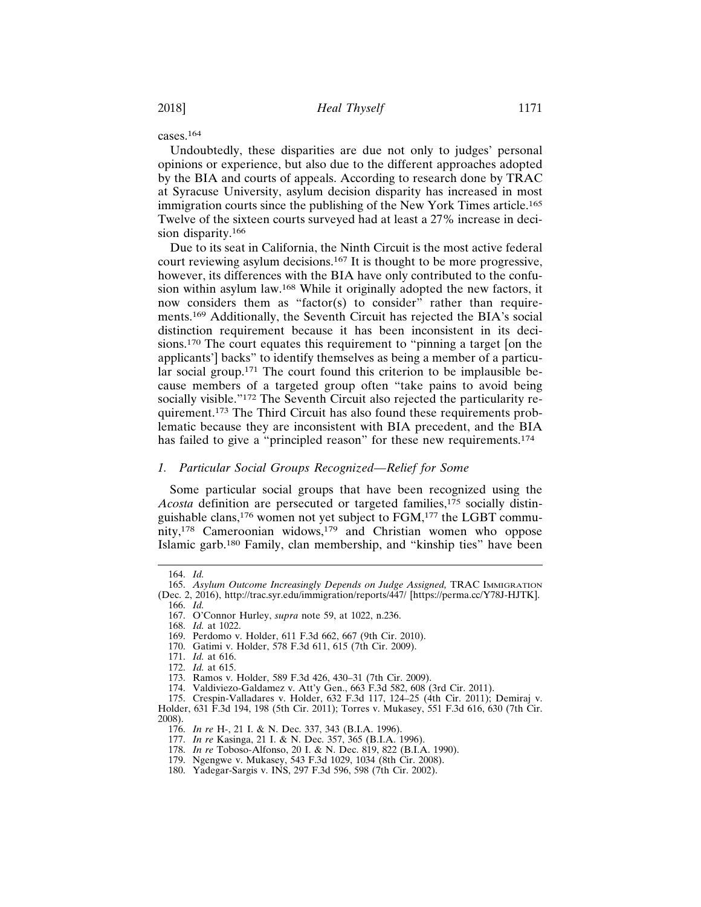cases.164

Undoubtedly, these disparities are due not only to judges' personal opinions or experience, but also due to the different approaches adopted by the BIA and courts of appeals. According to research done by TRAC at Syracuse University, asylum decision disparity has increased in most immigration courts since the publishing of the New York Times article.<sup>165</sup> Twelve of the sixteen courts surveyed had at least a 27% increase in decision disparity.<sup>166</sup>

Due to its seat in California, the Ninth Circuit is the most active federal court reviewing asylum decisions.167 It is thought to be more progressive, however, its differences with the BIA have only contributed to the confusion within asylum law.168 While it originally adopted the new factors, it now considers them as "factor(s) to consider" rather than requirements.169 Additionally, the Seventh Circuit has rejected the BIA's social distinction requirement because it has been inconsistent in its decisions.170 The court equates this requirement to "pinning a target [on the applicants'] backs" to identify themselves as being a member of a particular social group.<sup>171</sup> The court found this criterion to be implausible because members of a targeted group often "take pains to avoid being socially visible."<sup>172</sup> The Seventh Circuit also rejected the particularity requirement.173 The Third Circuit has also found these requirements problematic because they are inconsistent with BIA precedent, and the BIA has failed to give a "principled reason" for these new requirements.<sup>174</sup>

## *1. Particular Social Groups Recognized—Relief for Some*

Some particular social groups that have been recognized using the *Acosta* definition are persecuted or targeted families,<sup>175</sup> socially distinguishable clans,176 women not yet subject to FGM,177 the LGBT community,<sup>178</sup> Cameroonian widows,<sup>179</sup> and Christian women who oppose Islamic garb.180 Family, clan membership, and "kinship ties" have been

166. *Id.*

168. *Id.* at 1022.

<sup>164.</sup> *Id.*

<sup>165.</sup> *Asylum Outcome Increasingly Depends on Judge Assigned,* TRAC IMMIGRATION (Dec. 2, 2016), http://trac.syr.edu/immigration/reports/447/ [https://perma.cc/Y78J-HJTK].

<sup>167.</sup> O'Connor Hurley, *supra* note 59, at 1022, n.236.

<sup>169.</sup> Perdomo v. Holder, 611 F.3d 662, 667 (9th Cir. 2010).

<sup>170.</sup> Gatimi v. Holder, 578 F.3d 611, 615 (7th Cir. 2009).

<sup>171.</sup> *Id.* at 616.

<sup>172.</sup> *Id.* at 615.

<sup>173.</sup> Ramos v. Holder, 589 F.3d 426, 430–31 (7th Cir. 2009).

<sup>174.</sup> Valdiviezo-Galdamez v. Att'y Gen., 663 F.3d 582, 608 (3rd Cir. 2011).

<sup>175.</sup> Crespin-Valladares v. Holder, 632 F.3d 117, 124–25 (4th Cir. 2011); Demiraj v. Holder, 631 F.3d 194, 198 (5th Cir. 2011); Torres v. Mukasey, 551 F.3d 616, 630 (7th Cir. 2008).

<sup>176.</sup> *In re* H-, 21 I. & N. Dec. 337, 343 (B.I.A. 1996).

<sup>177.</sup> *In re* Kasinga, 21 I. & N. Dec. 357, 365 (B.I.A. 1996).

<sup>178.</sup> *In re* Toboso-Alfonso, 20 I. & N. Dec. 819, 822 (B.I.A. 1990).

<sup>179.</sup> Ngengwe v. Mukasey, 543 F.3d 1029, 1034 (8th Cir. 2008).

<sup>180.</sup> Yadegar-Sargis v. INS, 297 F.3d 596, 598 (7th Cir. 2002).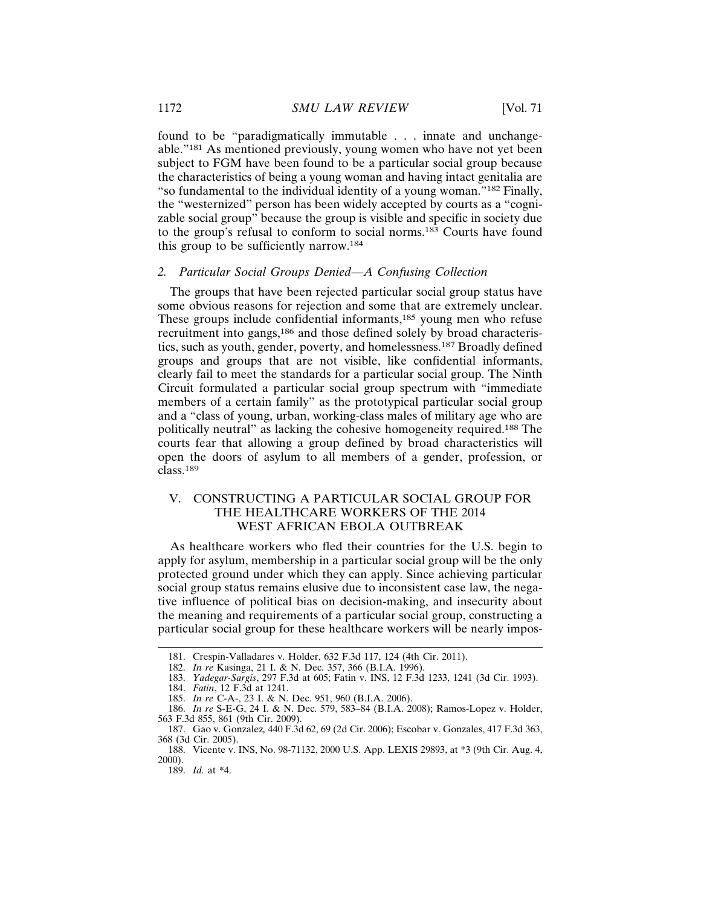found to be "paradigmatically immutable . . . innate and unchangeable."181 As mentioned previously, young women who have not yet been subject to FGM have been found to be a particular social group because the characteristics of being a young woman and having intact genitalia are "so fundamental to the individual identity of a young woman."182 Finally, the "westernized" person has been widely accepted by courts as a "cognizable social group" because the group is visible and specific in society due to the group's refusal to conform to social norms.183 Courts have found this group to be sufficiently narrow.<sup>184</sup>

## *2. Particular Social Groups Denied—A Confusing Collection*

The groups that have been rejected particular social group status have some obvious reasons for rejection and some that are extremely unclear. These groups include confidential informants,185 young men who refuse recruitment into gangs,<sup>186</sup> and those defined solely by broad characteristics, such as youth, gender, poverty, and homelessness.187 Broadly defined groups and groups that are not visible, like confidential informants, clearly fail to meet the standards for a particular social group. The Ninth Circuit formulated a particular social group spectrum with "immediate members of a certain family" as the prototypical particular social group and a "class of young, urban, working-class males of military age who are politically neutral" as lacking the cohesive homogeneity required.188 The courts fear that allowing a group defined by broad characteristics will open the doors of asylum to all members of a gender, profession, or class.<sup>189</sup>

# V. CONSTRUCTING A PARTICULAR SOCIAL GROUP FOR THE HEALTHCARE WORKERS OF THE 2014 WEST AFRICAN EBOLA OUTBREAK

As healthcare workers who fled their countries for the U.S. begin to apply for asylum, membership in a particular social group will be the only protected ground under which they can apply. Since achieving particular social group status remains elusive due to inconsistent case law, the negative influence of political bias on decision-making, and insecurity about the meaning and requirements of a particular social group, constructing a particular social group for these healthcare workers will be nearly impos-

<sup>181.</sup> Crespin-Valladares v. Holder, 632 F.3d 117, 124 (4th Cir. 2011).

<sup>182.</sup> *In re* Kasinga, 21 I. & N. Dec. 357, 366 (B.I.A. 1996).

<sup>183.</sup> *Yadegar-Sargis*, 297 F.3d at 605; Fatin v. INS, 12 F.3d 1233, 1241 (3d Cir. 1993).

<sup>184.</sup> *Fatin*, 12 F.3d at 1241.

<sup>185.</sup> *In re* C-A-, 23 I. & N. Dec. 951, 960 (B.I.A. 2006).

<sup>186.</sup> *In re* S-E-G, 24 I. & N. Dec. 579, 583–84 (B.I.A. 2008); Ramos-Lopez v. Holder, 563 F.3d 855, 861 (9th Cir. 2009).

<sup>187.</sup> Gao v. Gonzalez*,* 440 F.3d 62, 69 (2d Cir. 2006); Escobar v. Gonzales, 417 F.3d 363, 368 (3d Cir. 2005).

<sup>188.</sup> Vicente v. INS, No. 98-71132, 2000 U.S. App. LEXIS 29893, at \*3 (9th Cir. Aug. 4, 2000).

<sup>189.</sup> *Id.* at \*4.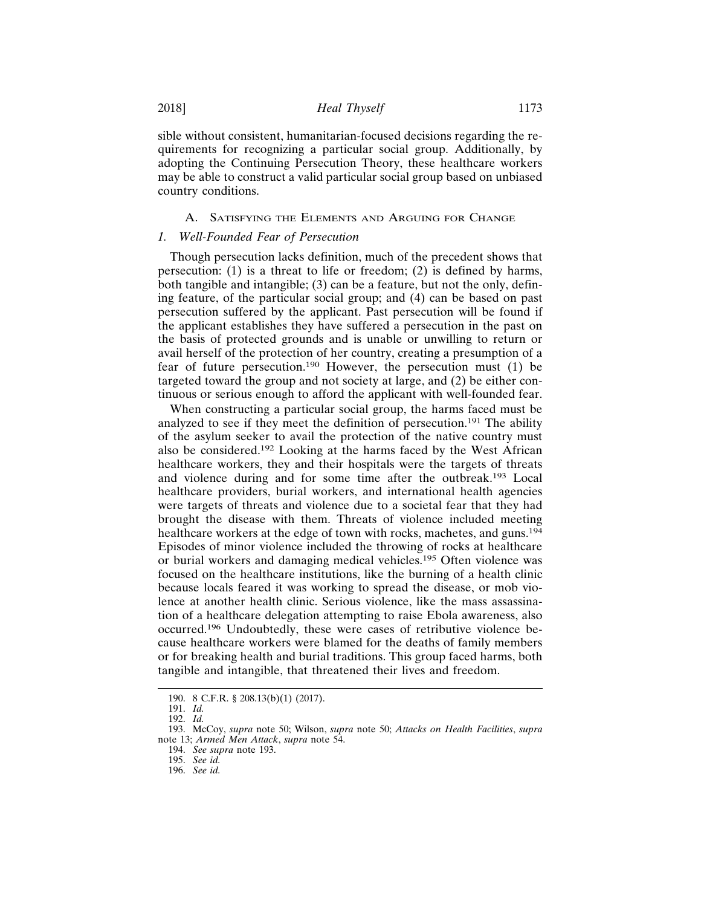sible without consistent, humanitarian-focused decisions regarding the requirements for recognizing a particular social group. Additionally, by adopting the Continuing Persecution Theory, these healthcare workers may be able to construct a valid particular social group based on unbiased country conditions.

## A. SATISFYING THE ELEMENTS AND ARGUING FOR CHANGE

## *1. Well-Founded Fear of Persecution*

Though persecution lacks definition, much of the precedent shows that persecution: (1) is a threat to life or freedom; (2) is defined by harms, both tangible and intangible; (3) can be a feature, but not the only, defining feature, of the particular social group; and (4) can be based on past persecution suffered by the applicant. Past persecution will be found if the applicant establishes they have suffered a persecution in the past on the basis of protected grounds and is unable or unwilling to return or avail herself of the protection of her country, creating a presumption of a fear of future persecution.190 However, the persecution must (1) be targeted toward the group and not society at large, and (2) be either continuous or serious enough to afford the applicant with well-founded fear.

When constructing a particular social group, the harms faced must be analyzed to see if they meet the definition of persecution.191 The ability of the asylum seeker to avail the protection of the native country must also be considered.192 Looking at the harms faced by the West African healthcare workers, they and their hospitals were the targets of threats and violence during and for some time after the outbreak.193 Local healthcare providers, burial workers, and international health agencies were targets of threats and violence due to a societal fear that they had brought the disease with them. Threats of violence included meeting healthcare workers at the edge of town with rocks, machetes, and guns.<sup>194</sup> Episodes of minor violence included the throwing of rocks at healthcare or burial workers and damaging medical vehicles.195 Often violence was focused on the healthcare institutions, like the burning of a health clinic because locals feared it was working to spread the disease, or mob violence at another health clinic. Serious violence, like the mass assassination of a healthcare delegation attempting to raise Ebola awareness, also occurred.196 Undoubtedly, these were cases of retributive violence because healthcare workers were blamed for the deaths of family members or for breaking health and burial traditions. This group faced harms, both tangible and intangible, that threatened their lives and freedom.

<sup>190. 8</sup> C.F.R. § 208.13(b)(1) (2017).

<sup>191.</sup> *Id.*

<sup>192.</sup> *Id.*

<sup>193.</sup> McCoy, *supra* note 50; Wilson, *supra* note 50; *Attacks on Health Facilities*, *supra* note 13; *Armed Men Attack*, *supra* note 54.

<sup>194.</sup> *See supra* note 193.

<sup>195.</sup> *See id.*

<sup>196.</sup> *See id.*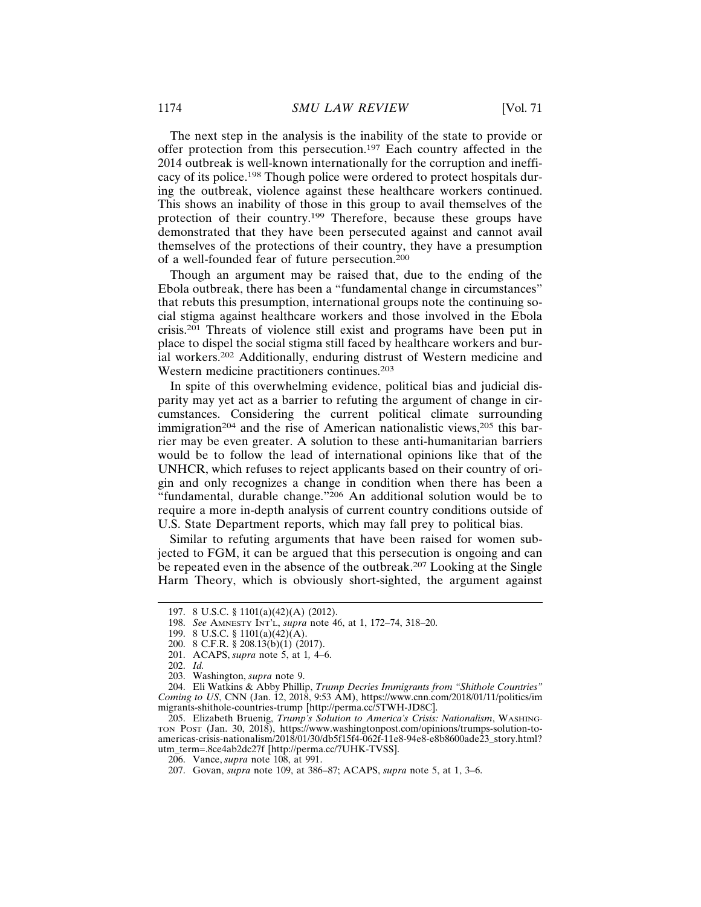The next step in the analysis is the inability of the state to provide or offer protection from this persecution.197 Each country affected in the 2014 outbreak is well-known internationally for the corruption and inefficacy of its police.198 Though police were ordered to protect hospitals during the outbreak, violence against these healthcare workers continued. This shows an inability of those in this group to avail themselves of the protection of their country.199 Therefore, because these groups have demonstrated that they have been persecuted against and cannot avail themselves of the protections of their country, they have a presumption of a well-founded fear of future persecution.<sup>200</sup>

Though an argument may be raised that, due to the ending of the Ebola outbreak, there has been a "fundamental change in circumstances" that rebuts this presumption, international groups note the continuing social stigma against healthcare workers and those involved in the Ebola crisis.201 Threats of violence still exist and programs have been put in place to dispel the social stigma still faced by healthcare workers and burial workers.202 Additionally, enduring distrust of Western medicine and Western medicine practitioners continues.<sup>203</sup>

In spite of this overwhelming evidence, political bias and judicial disparity may yet act as a barrier to refuting the argument of change in circumstances. Considering the current political climate surrounding immigration<sup>204</sup> and the rise of American nationalistic views,<sup>205</sup> this barrier may be even greater. A solution to these anti-humanitarian barriers would be to follow the lead of international opinions like that of the UNHCR, which refuses to reject applicants based on their country of origin and only recognizes a change in condition when there has been a "fundamental, durable change."206 An additional solution would be to require a more in-depth analysis of current country conditions outside of U.S. State Department reports, which may fall prey to political bias.

Similar to refuting arguments that have been raised for women subjected to FGM, it can be argued that this persecution is ongoing and can be repeated even in the absence of the outbreak.207 Looking at the Single Harm Theory, which is obviously short-sighted, the argument against

202. *Id.*

<sup>197. 8</sup> U.S.C. § 1101(a)(42)(A) (2012).

<sup>198.</sup> *See* AMNESTY INT'L, *supra* note 46, at 1, 172–74, 318–20.

<sup>199. 8</sup> U.S.C. § 1101(a)(42)(A).

<sup>200. 8</sup> C.F.R. § 208.13(b)(1) (2017).

<sup>201.</sup> ACAPS, *supra* note 5, at 1*,* 4–6.

<sup>203.</sup> Washington, *supra* note 9.

<sup>204.</sup> Eli Watkins & Abby Phillip, *Trump Decries Immigrants from "Shithole Countries" Coming to US*, CNN (Jan. 12, 2018, 9:53 AM), https://www.cnn.com/2018/01/11/politics/im migrants-shithole-countries-trump [http://perma.cc/5TWH-JD8C].

<sup>205.</sup> Elizabeth Bruenig, *Trump's Solution to America's Crisis: Nationalism*, WASHING-TON POST (Jan. 30, 2018), https://www.washingtonpost.com/opinions/trumps-solution-toamericas-crisis-nationalism/2018/01/30/db5f15f4-062f-11e8-94e8-e8b8600ade23\_story.html? utm\_term=.8ce4ab2dc27f [http://perma.cc/7UHK-TVSS].

<sup>206.</sup> Vance, *supra* note 108, at 991.

<sup>207.</sup> Govan, *supra* note 109, at 386–87; ACAPS, *supra* note 5, at 1, 3–6.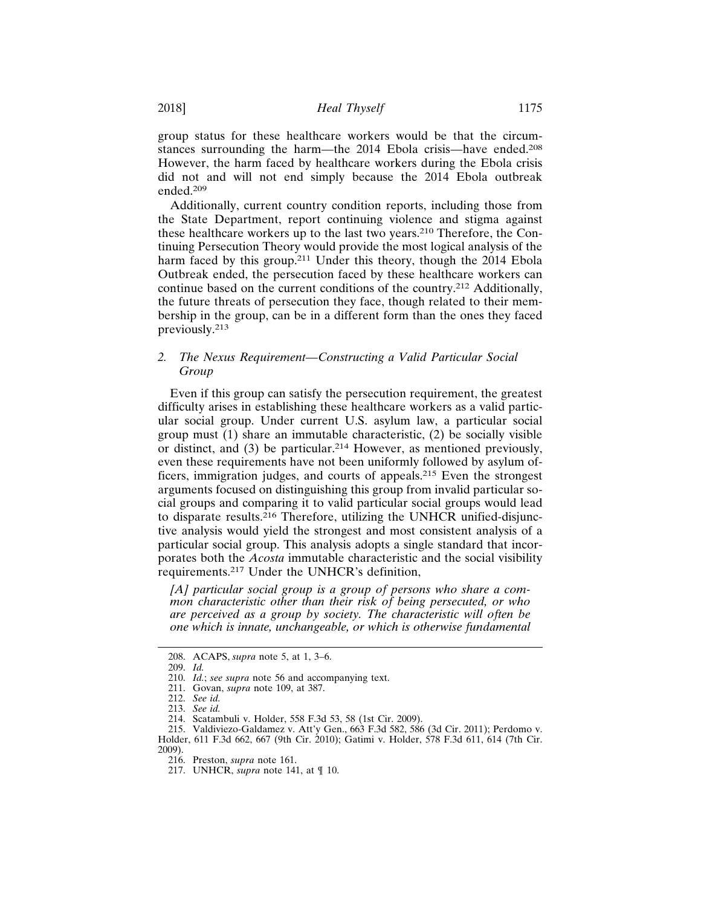group status for these healthcare workers would be that the circumstances surrounding the harm—the 2014 Ebola crisis—have ended.<sup>208</sup> However, the harm faced by healthcare workers during the Ebola crisis did not and will not end simply because the 2014 Ebola outbreak ended.<sup>209</sup>

Additionally, current country condition reports, including those from the State Department, report continuing violence and stigma against these healthcare workers up to the last two years.210 Therefore, the Continuing Persecution Theory would provide the most logical analysis of the harm faced by this group.<sup>211</sup> Under this theory, though the 2014 Ebola Outbreak ended, the persecution faced by these healthcare workers can continue based on the current conditions of the country.212 Additionally, the future threats of persecution they face, though related to their membership in the group, can be in a different form than the ones they faced previously.<sup>213</sup>

# *2. The Nexus Requirement—Constructing a Valid Particular Social Group*

Even if this group can satisfy the persecution requirement, the greatest difficulty arises in establishing these healthcare workers as a valid particular social group. Under current U.S. asylum law, a particular social group must (1) share an immutable characteristic, (2) be socially visible or distinct, and (3) be particular.214 However, as mentioned previously, even these requirements have not been uniformly followed by asylum officers, immigration judges, and courts of appeals.215 Even the strongest arguments focused on distinguishing this group from invalid particular social groups and comparing it to valid particular social groups would lead to disparate results.216 Therefore, utilizing the UNHCR unified-disjunctive analysis would yield the strongest and most consistent analysis of a particular social group. This analysis adopts a single standard that incorporates both the *Acosta* immutable characteristic and the social visibility requirements.217 Under the UNHCR's definition,

*[A] particular social group is a group of persons who share a common characteristic other than their risk of being persecuted, or who are perceived as a group by society. The characteristic will often be one which is innate, unchangeable, or which is otherwise fundamental*

<sup>208.</sup> ACAPS, *supra* note 5, at 1, 3–6.

<sup>209.</sup> *Id.*

<sup>210.</sup> *Id.*; *see supra* note 56 and accompanying text.

<sup>211.</sup> Govan, *supra* note 109, at 387.

<sup>212.</sup> *See id.*

<sup>213.</sup> *See id.*

<sup>214.</sup> Scatambuli v. Holder, 558 F.3d 53, 58 (1st Cir. 2009).

<sup>215.</sup> Valdiviezo-Galdamez v. Att'y Gen., 663 F.3d 582, 586 (3d Cir. 2011); Perdomo v. Holder, 611 F.3d 662, 667 (9th Cir. 2010); Gatimi v. Holder, 578 F.3d 611, 614 (7th Cir. 2009).

<sup>216.</sup> Preston, *supra* note 161.

<sup>217.</sup> UNHCR, *supra* note 141, at ¶ 10.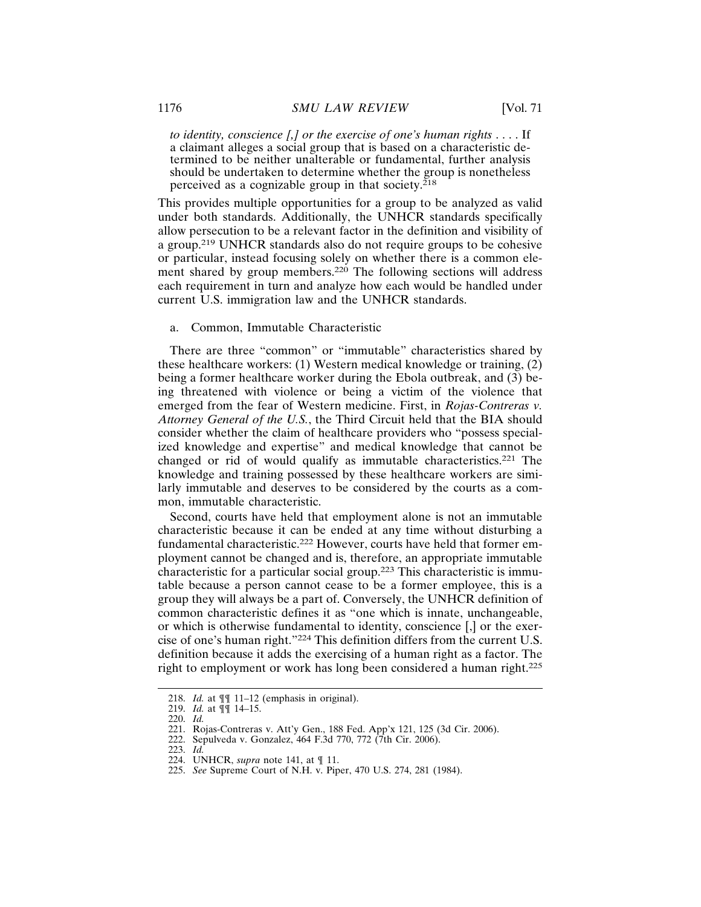*to identity, conscience [,] or the exercise of one's human rights* . . . . If a claimant alleges a social group that is based on a characteristic determined to be neither unalterable or fundamental, further analysis should be undertaken to determine whether the group is nonetheless perceived as a cognizable group in that society.<sup>218</sup>

This provides multiple opportunities for a group to be analyzed as valid under both standards. Additionally, the UNHCR standards specifically allow persecution to be a relevant factor in the definition and visibility of a group.219 UNHCR standards also do not require groups to be cohesive or particular, instead focusing solely on whether there is a common element shared by group members.<sup>220</sup> The following sections will address each requirement in turn and analyze how each would be handled under current U.S. immigration law and the UNHCR standards.

# a. Common, Immutable Characteristic

There are three "common" or "immutable" characteristics shared by these healthcare workers: (1) Western medical knowledge or training, (2) being a former healthcare worker during the Ebola outbreak, and (3) being threatened with violence or being a victim of the violence that emerged from the fear of Western medicine. First, in *Rojas-Contreras v. Attorney General of the U.S.*, the Third Circuit held that the BIA should consider whether the claim of healthcare providers who "possess specialized knowledge and expertise" and medical knowledge that cannot be changed or rid of would qualify as immutable characteristics.221 The knowledge and training possessed by these healthcare workers are similarly immutable and deserves to be considered by the courts as a common, immutable characteristic.

Second, courts have held that employment alone is not an immutable characteristic because it can be ended at any time without disturbing a fundamental characteristic.222 However, courts have held that former employment cannot be changed and is, therefore, an appropriate immutable characteristic for a particular social group.223 This characteristic is immutable because a person cannot cease to be a former employee, this is a group they will always be a part of. Conversely, the UNHCR definition of common characteristic defines it as "one which is innate, unchangeable, or which is otherwise fundamental to identity, conscience [,] or the exercise of one's human right."224 This definition differs from the current U.S. definition because it adds the exercising of a human right as a factor. The right to employment or work has long been considered a human right.<sup>225</sup>

<sup>218.</sup> *Id.* at ¶¶ 11–12 (emphasis in original).

<sup>219.</sup> *Id.* at ¶¶ 14–15.

<sup>220.</sup> *Id.*

<sup>221.</sup> Rojas-Contreras v. Att'y Gen., 188 Fed. App'x 121, 125 (3d Cir. 2006).

<sup>222.</sup> Sepulveda v. Gonzalez, 464 F.3d 770, 772 (7th Cir. 2006).

<sup>223.</sup> *Id.*

<sup>224.</sup> UNHCR, *supra* note 141, at ¶ 11.

<sup>225.</sup> *See* Supreme Court of N.H. v. Piper, 470 U.S. 274, 281 (1984).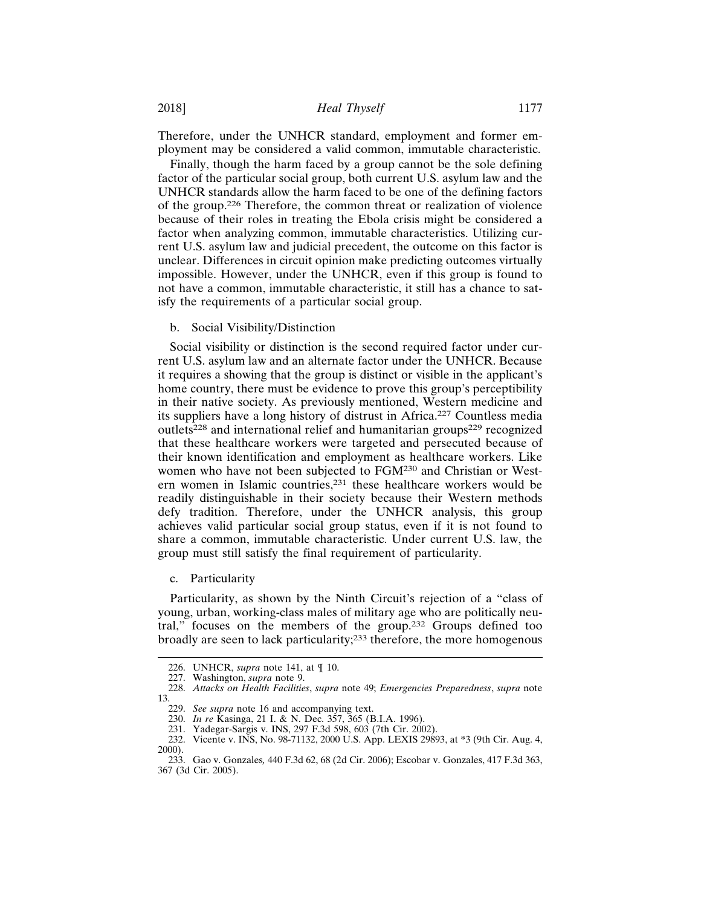Therefore, under the UNHCR standard, employment and former employment may be considered a valid common, immutable characteristic.

Finally, though the harm faced by a group cannot be the sole defining factor of the particular social group, both current U.S. asylum law and the UNHCR standards allow the harm faced to be one of the defining factors of the group.226 Therefore, the common threat or realization of violence because of their roles in treating the Ebola crisis might be considered a factor when analyzing common, immutable characteristics. Utilizing current U.S. asylum law and judicial precedent, the outcome on this factor is unclear. Differences in circuit opinion make predicting outcomes virtually impossible. However, under the UNHCR, even if this group is found to not have a common, immutable characteristic, it still has a chance to satisfy the requirements of a particular social group.

b. Social Visibility/Distinction

Social visibility or distinction is the second required factor under current U.S. asylum law and an alternate factor under the UNHCR. Because it requires a showing that the group is distinct or visible in the applicant's home country, there must be evidence to prove this group's perceptibility in their native society. As previously mentioned, Western medicine and its suppliers have a long history of distrust in Africa.227 Countless media outlets<sup>228</sup> and international relief and humanitarian groups<sup>229</sup> recognized that these healthcare workers were targeted and persecuted because of their known identification and employment as healthcare workers. Like women who have not been subjected to FGM230 and Christian or Western women in Islamic countries,231 these healthcare workers would be readily distinguishable in their society because their Western methods defy tradition. Therefore, under the UNHCR analysis, this group achieves valid particular social group status, even if it is not found to share a common, immutable characteristic. Under current U.S. law, the group must still satisfy the final requirement of particularity.

c. Particularity

Particularity, as shown by the Ninth Circuit's rejection of a "class of young, urban, working-class males of military age who are politically neutral," focuses on the members of the group.232 Groups defined too broadly are seen to lack particularity;233 therefore, the more homogenous

<sup>226.</sup> UNHCR, *supra* note 141, at ¶ 10.

<sup>227.</sup> Washington, *supra* note 9.

<sup>228.</sup> *Attacks on Health Facilities*, *supra* note 49; *Emergencies Preparedness*, *supra* note 13.

<sup>229.</sup> *See supra* note 16 and accompanying text.

<sup>230.</sup> *In re* Kasinga, 21 I. & N. Dec. 357, 365 (B.I.A. 1996).

<sup>231.</sup> Yadegar-Sargis v. INS, 297 F.3d 598, 603 (7th Cir. 2002).

<sup>232.</sup> Vicente v. INS, No. 98-71132, 2000 U.S. App. LEXIS 29893, at \*3 (9th Cir. Aug. 4, 2000).

<sup>233.</sup> Gao v. Gonzales*,* 440 F.3d 62, 68 (2d Cir. 2006); Escobar v. Gonzales, 417 F.3d 363, 367 (3d Cir. 2005).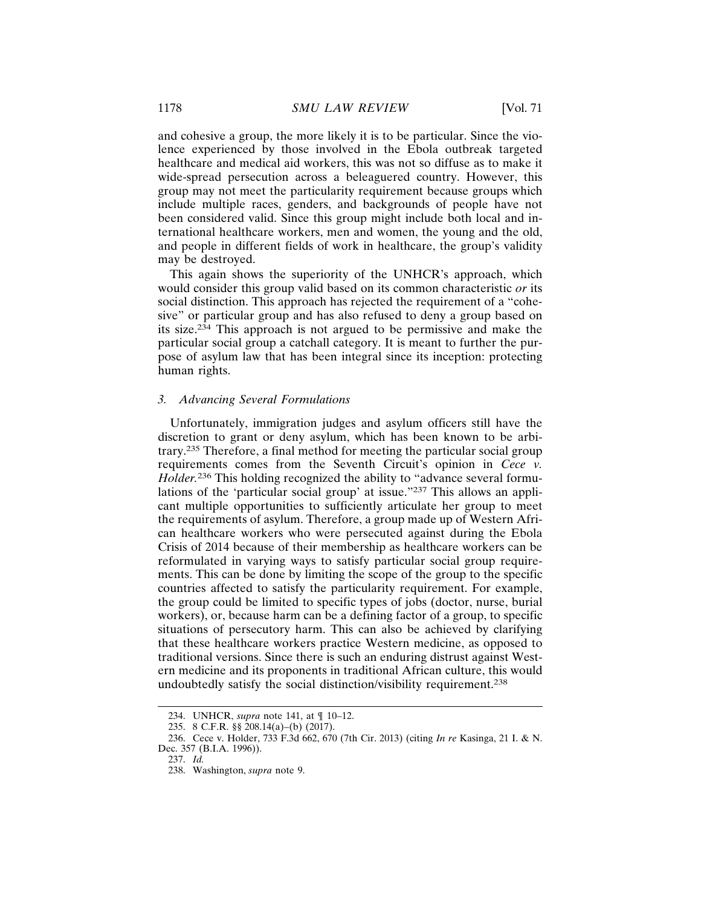and cohesive a group, the more likely it is to be particular. Since the violence experienced by those involved in the Ebola outbreak targeted healthcare and medical aid workers, this was not so diffuse as to make it wide-spread persecution across a beleaguered country. However, this group may not meet the particularity requirement because groups which include multiple races, genders, and backgrounds of people have not been considered valid. Since this group might include both local and international healthcare workers, men and women, the young and the old, and people in different fields of work in healthcare, the group's validity may be destroyed.

This again shows the superiority of the UNHCR's approach, which would consider this group valid based on its common characteristic *or* its social distinction. This approach has rejected the requirement of a "cohesive" or particular group and has also refused to deny a group based on its size.234 This approach is not argued to be permissive and make the particular social group a catchall category. It is meant to further the purpose of asylum law that has been integral since its inception: protecting human rights.

## *3. Advancing Several Formulations*

Unfortunately, immigration judges and asylum officers still have the discretion to grant or deny asylum, which has been known to be arbitrary.235 Therefore, a final method for meeting the particular social group requirements comes from the Seventh Circuit's opinion in *Cece v. Holder.*<sup>236</sup> This holding recognized the ability to "advance several formulations of the 'particular social group' at issue."237 This allows an applicant multiple opportunities to sufficiently articulate her group to meet the requirements of asylum. Therefore, a group made up of Western African healthcare workers who were persecuted against during the Ebola Crisis of 2014 because of their membership as healthcare workers can be reformulated in varying ways to satisfy particular social group requirements. This can be done by limiting the scope of the group to the specific countries affected to satisfy the particularity requirement. For example, the group could be limited to specific types of jobs (doctor, nurse, burial workers), or, because harm can be a defining factor of a group, to specific situations of persecutory harm. This can also be achieved by clarifying that these healthcare workers practice Western medicine, as opposed to traditional versions. Since there is such an enduring distrust against Western medicine and its proponents in traditional African culture, this would undoubtedly satisfy the social distinction/visibility requirement.<sup>238</sup>

<sup>234.</sup> UNHCR, *supra* note 141, at ¶ 10–12.

<sup>235. 8</sup> C.F.R. §§ 208.14(a)–(b) (2017).

<sup>236.</sup> Cece v. Holder, 733 F.3d 662, 670 (7th Cir. 2013) (citing *In re* Kasinga, 21 I. & N. Dec. 357 (B.I.A. 1996)).

<sup>237.</sup> *Id.*

<sup>238.</sup> Washington, *supra* note 9.